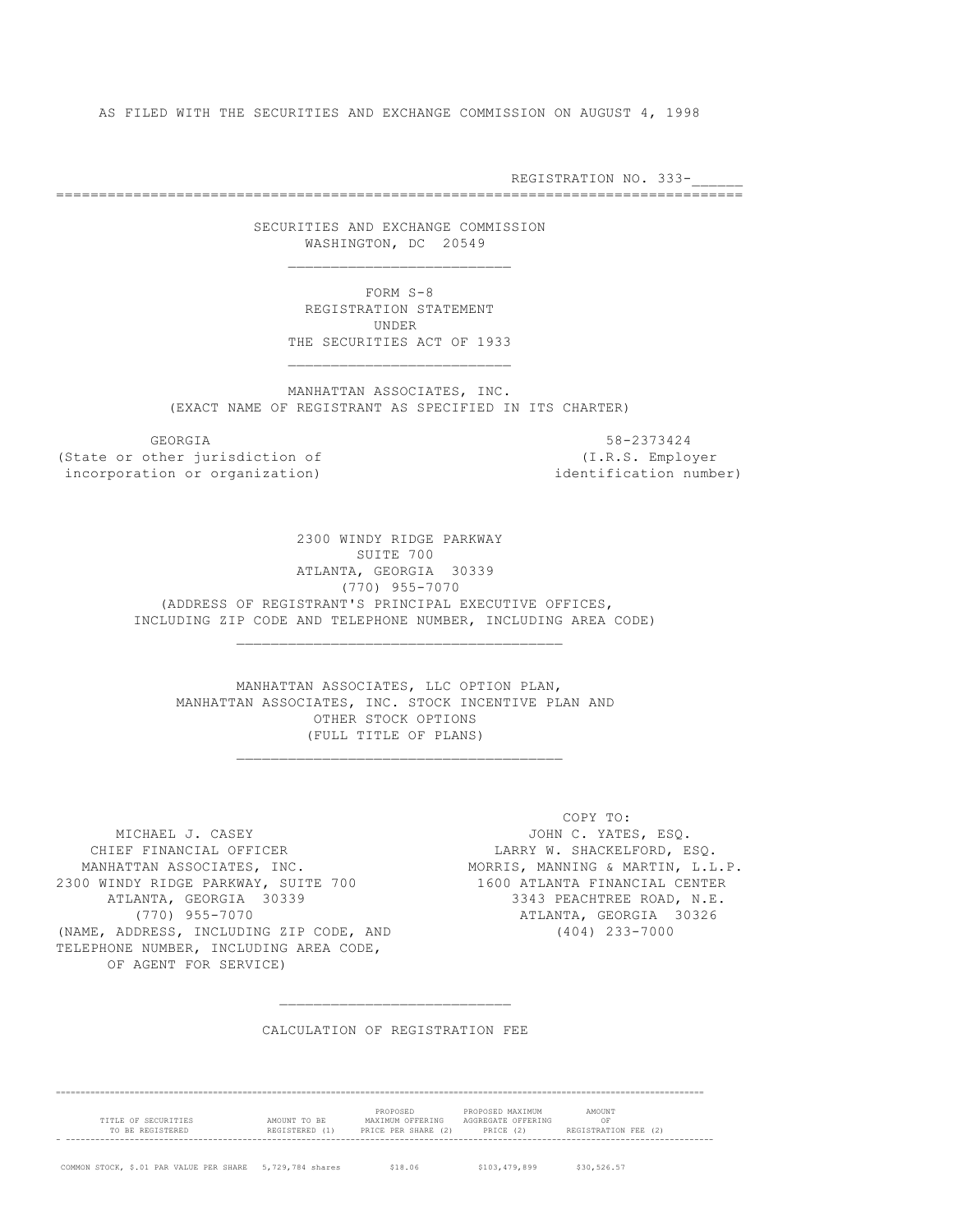AS FILED WITH THE SECURITIES AND EXCHANGE COMMISSION ON AUGUST 4, 1998

REGISTRATION NO. 333-

================================================================================

 SECURITIES AND EXCHANGE COMMISSION WASHINGTON, DC 20549

 $\frac{1}{2}$  , and the set of the set of the set of the set of the set of the set of the set of the set of the set of the set of the set of the set of the set of the set of the set of the set of the set of the set of the set

 $\mathcal{L}_\text{max}$  and the contract of the contract of the contract of the contract of the contract of the contract of the contract of the contract of the contract of the contract of the contract of the contract of the contrac

\_\_\_\_\_\_\_\_\_\_\_\_\_\_\_\_\_\_\_\_\_\_\_\_\_\_\_\_\_\_\_\_\_\_\_\_\_\_

\_\_\_\_\_\_\_\_\_\_\_\_\_\_\_\_\_\_\_\_\_\_\_\_\_\_\_\_\_\_\_\_\_\_\_\_\_\_

 $\frac{1}{2}$  , and the set of the set of the set of the set of the set of the set of the set of the set of the set of the set of the set of the set of the set of the set of the set of the set of the set of the set of the set

 FORM S-8 REGISTRATION STATEMENT UNDER THE SECURITIES ACT OF 1933

 MANHATTAN ASSOCIATES, INC. (EXACT NAME OF REGISTRANT AS SPECIFIED IN ITS CHARTER)

GEORGIA 58-2373424

(State or other jurisdiction of (I.R.S. Employer incorporation or organization) and identification number)

> 2300 WINDY RIDGE PARKWAY SUITE 700 ATLANTA, GEORGIA 30339 (770) 955-7070 (ADDRESS OF REGISTRANT'S PRINCIPAL EXECUTIVE OFFICES, INCLUDING ZIP CODE AND TELEPHONE NUMBER, INCLUDING AREA CODE)

 MANHATTAN ASSOCIATES, LLC OPTION PLAN, MANHATTAN ASSOCIATES, INC. STOCK INCENTIVE PLAN AND OTHER STOCK OPTIONS (FULL TITLE OF PLANS)

MICHAEL J. CASEY **All and South American** JOHN C. YATES, ESQ. CHIEF FINANCIAL OFFICER LARRY W. SHACKELFORD, ESQ. MANHATTAN ASSOCIATES, INC. MORRIS, MANNING & MARTIN, L.L.P. 2300 WINDY RIDGE PARKWAY, SUITE 700 1600 ATLANTA FINANCIAL CENTER ATLANTA, GEORGIA 30339 3343 PEACHTREE ROAD, N.E. (770) 955-7070 ATLANTA, GEORGIA 30326 (NAME, ADDRESS, INCLUDING ZIP CODE, AND (404) 233-7000 TELEPHONE NUMBER, INCLUDING AREA CODE, OF AGENT FOR SERVICE)

COPY TO:

### CALCULATION OF REGISTRATION FEE

==================================================================================================================================== PROPOSED PROPOSED MAXIMUM AMOUNT TITLE OF SECURITIES AMOUNT TO BE MAXIMUM OFFERING AGGREGATE OFFERING OF TO BE REGISTERED REGISTERED (1) PRICE PER SHARE (2) PRICE (2) REGISTRATION FEE (2) - ------------------------------------------------------------------------------------------------------------------------------------ COMMON STOCK, \$.01 PAR VALUE PER SHARE 5,729,784 shares \$18.06 \$103,479,899 \$30,526.57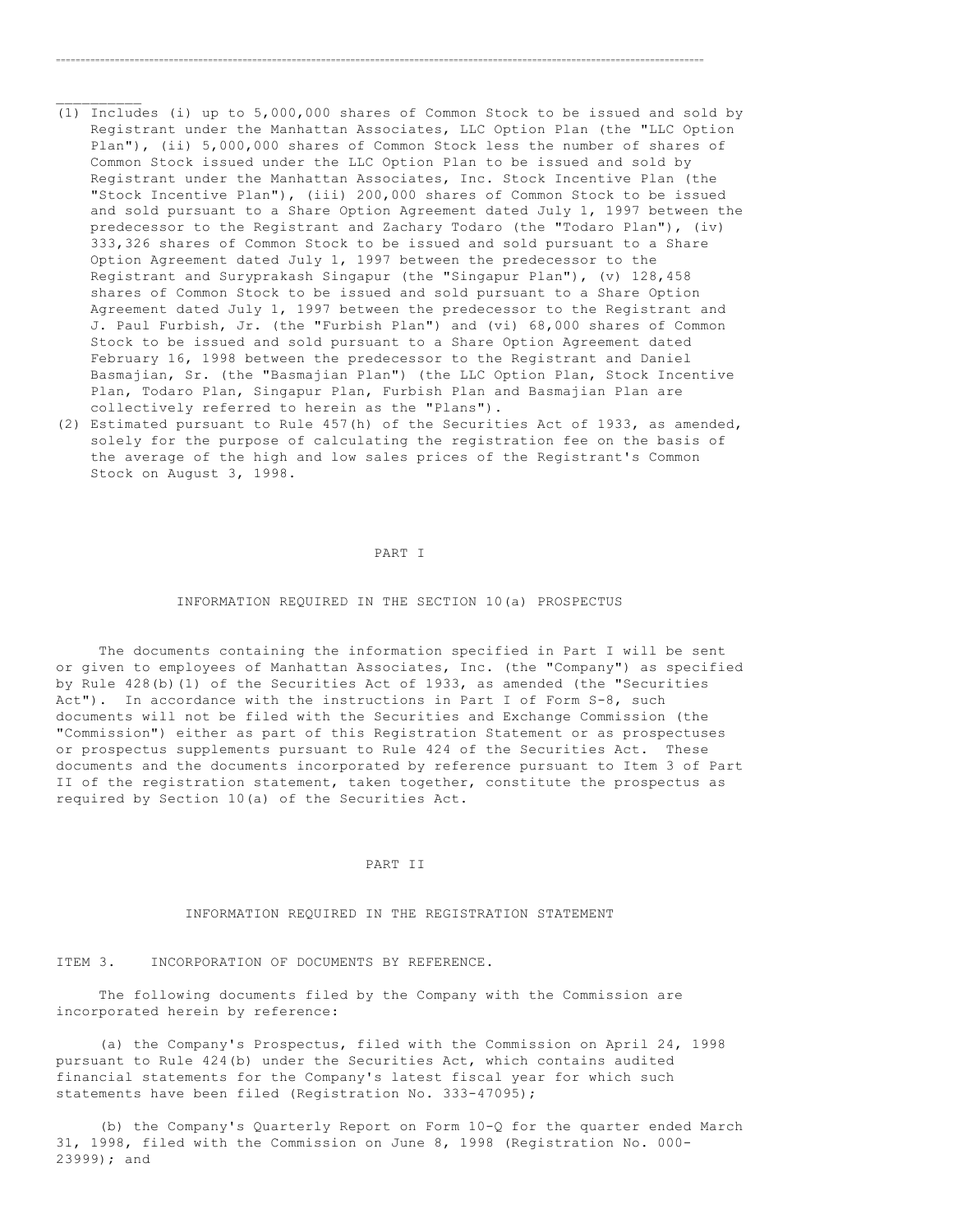(1) Includes (i) up to 5,000,000 shares of Common Stock to be issued and sold by Registrant under the Manhattan Associates, LLC Option Plan (the "LLC Option Plan"), (ii) 5,000,000 shares of Common Stock less the number of shares of Common Stock issued under the LLC Option Plan to be issued and sold by Registrant under the Manhattan Associates, Inc. Stock Incentive Plan (the "Stock Incentive Plan"), (iii) 200,000 shares of Common Stock to be issued and sold pursuant to a Share Option Agreement dated July 1, 1997 between the predecessor to the Registrant and Zachary Todaro (the "Todaro Plan"), (iv) 333,326 shares of Common Stock to be issued and sold pursuant to a Share Option Agreement dated July 1, 1997 between the predecessor to the Registrant and Suryprakash Singapur (the "Singapur Plan"), (v) 128,458 shares of Common Stock to be issued and sold pursuant to a Share Option Agreement dated July 1, 1997 between the predecessor to the Registrant and J. Paul Furbish, Jr. (the "Furbish Plan") and (vi) 68,000 shares of Common Stock to be issued and sold pursuant to a Share Option Agreement dated February 16, 1998 between the predecessor to the Registrant and Daniel Basmajian, Sr. (the "Basmajian Plan") (the LLC Option Plan, Stock Incentive Plan, Todaro Plan, Singapur Plan, Furbish Plan and Basmajian Plan are collectively referred to herein as the "Plans").

====================================================================================================================================

 $\frac{1}{2}$  ,  $\frac{1}{2}$  ,  $\frac{1}{2}$  ,  $\frac{1}{2}$  ,  $\frac{1}{2}$ 

(2) Estimated pursuant to Rule 457(h) of the Securities Act of 1933, as amended, solely for the purpose of calculating the registration fee on the basis of the average of the high and low sales prices of the Registrant's Common Stock on August 3, 1998.

#### PART I

#### INFORMATION REQUIRED IN THE SECTION 10(a) PROSPECTUS

 The documents containing the information specified in Part I will be sent or given to employees of Manhattan Associates, Inc. (the "Company") as specified by Rule 428(b)(1) of the Securities Act of 1933, as amended (the "Securities Act"). In accordance with the instructions in Part I of Form S-8, such documents will not be filed with the Securities and Exchange Commission (the "Commission") either as part of this Registration Statement or as prospectuses or prospectus supplements pursuant to Rule 424 of the Securities Act. These documents and the documents incorporated by reference pursuant to Item 3 of Part II of the registration statement, taken together, constitute the prospectus as required by Section 10(a) of the Securities Act.

### PART II

### INFORMATION REQUIRED IN THE REGISTRATION STATEMENT

ITEM 3. INCORPORATION OF DOCUMENTS BY REFERENCE.

 The following documents filed by the Company with the Commission are incorporated herein by reference:

 (a) the Company's Prospectus, filed with the Commission on April 24, 1998 pursuant to Rule 424(b) under the Securities Act, which contains audited financial statements for the Company's latest fiscal year for which such statements have been filed (Registration No. 333-47095);

 (b) the Company's Quarterly Report on Form 10-Q for the quarter ended March 31, 1998, filed with the Commission on June 8, 1998 (Registration No. 000- 23999); and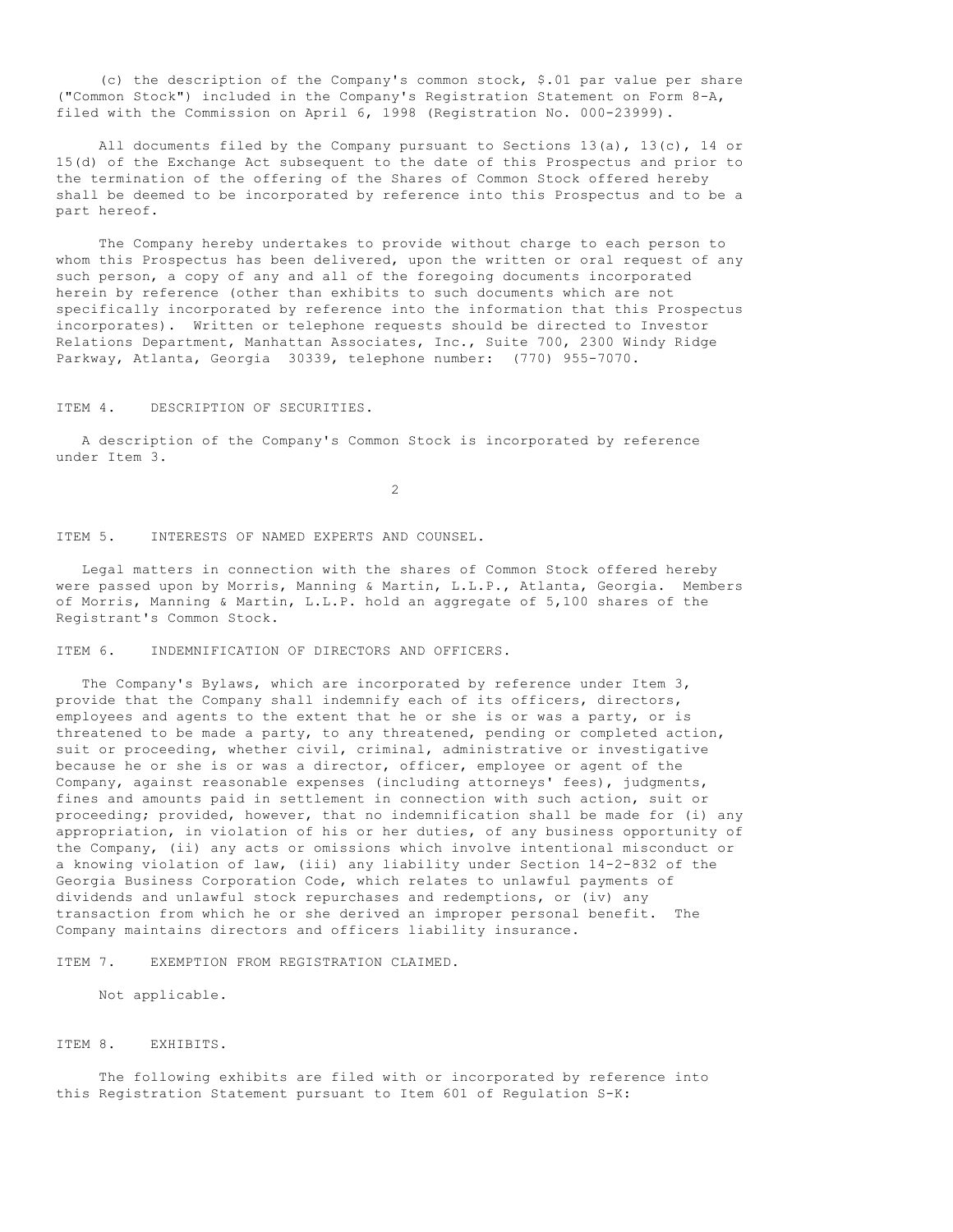(c) the description of the Company's common stock, \$.01 par value per share ("Common Stock") included in the Company's Registration Statement on Form 8-A, filed with the Commission on April 6, 1998 (Registration No. 000-23999).

 All documents filed by the Company pursuant to Sections 13(a), 13(c), 14 or 15(d) of the Exchange Act subsequent to the date of this Prospectus and prior to the termination of the offering of the Shares of Common Stock offered hereby shall be deemed to be incorporated by reference into this Prospectus and to be a part hereof.

 The Company hereby undertakes to provide without charge to each person to whom this Prospectus has been delivered, upon the written or oral request of any such person, a copy of any and all of the foregoing documents incorporated herein by reference (other than exhibits to such documents which are not specifically incorporated by reference into the information that this Prospectus incorporates). Written or telephone requests should be directed to Investor Relations Department, Manhattan Associates, Inc., Suite 700, 2300 Windy Ridge Parkway, Atlanta, Georgia 30339, telephone number: (770) 955-7070.

ITEM 4. DESCRIPTION OF SECURITIES.

 A description of the Company's Common Stock is incorporated by reference under Item 3.

2

ITEM 5. INTERESTS OF NAMED EXPERTS AND COUNSEL.

 Legal matters in connection with the shares of Common Stock offered hereby were passed upon by Morris, Manning & Martin, L.L.P., Atlanta, Georgia. Members of Morris, Manning & Martin, L.L.P. hold an aggregate of 5,100 shares of the Registrant's Common Stock.

ITEM 6. INDEMNIFICATION OF DIRECTORS AND OFFICERS.

 The Company's Bylaws, which are incorporated by reference under Item 3, provide that the Company shall indemnify each of its officers, directors, employees and agents to the extent that he or she is or was a party, or is threatened to be made a party, to any threatened, pending or completed action, suit or proceeding, whether civil, criminal, administrative or investigative because he or she is or was a director, officer, employee or agent of the Company, against reasonable expenses (including attorneys' fees), judgments, fines and amounts paid in settlement in connection with such action, suit or proceeding; provided, however, that no indemnification shall be made for (i) any appropriation, in violation of his or her duties, of any business opportunity of the Company, (ii) any acts or omissions which involve intentional misconduct or a knowing violation of law, (iii) any liability under Section 14-2-832 of the Georgia Business Corporation Code, which relates to unlawful payments of dividends and unlawful stock repurchases and redemptions, or (iv) any transaction from which he or she derived an improper personal benefit. The Company maintains directors and officers liability insurance.

ITEM 7. EXEMPTION FROM REGISTRATION CLAIMED.

Not applicable.

ITEM 8. EXHIBITS.

 The following exhibits are filed with or incorporated by reference into this Registration Statement pursuant to Item 601 of Regulation S-K: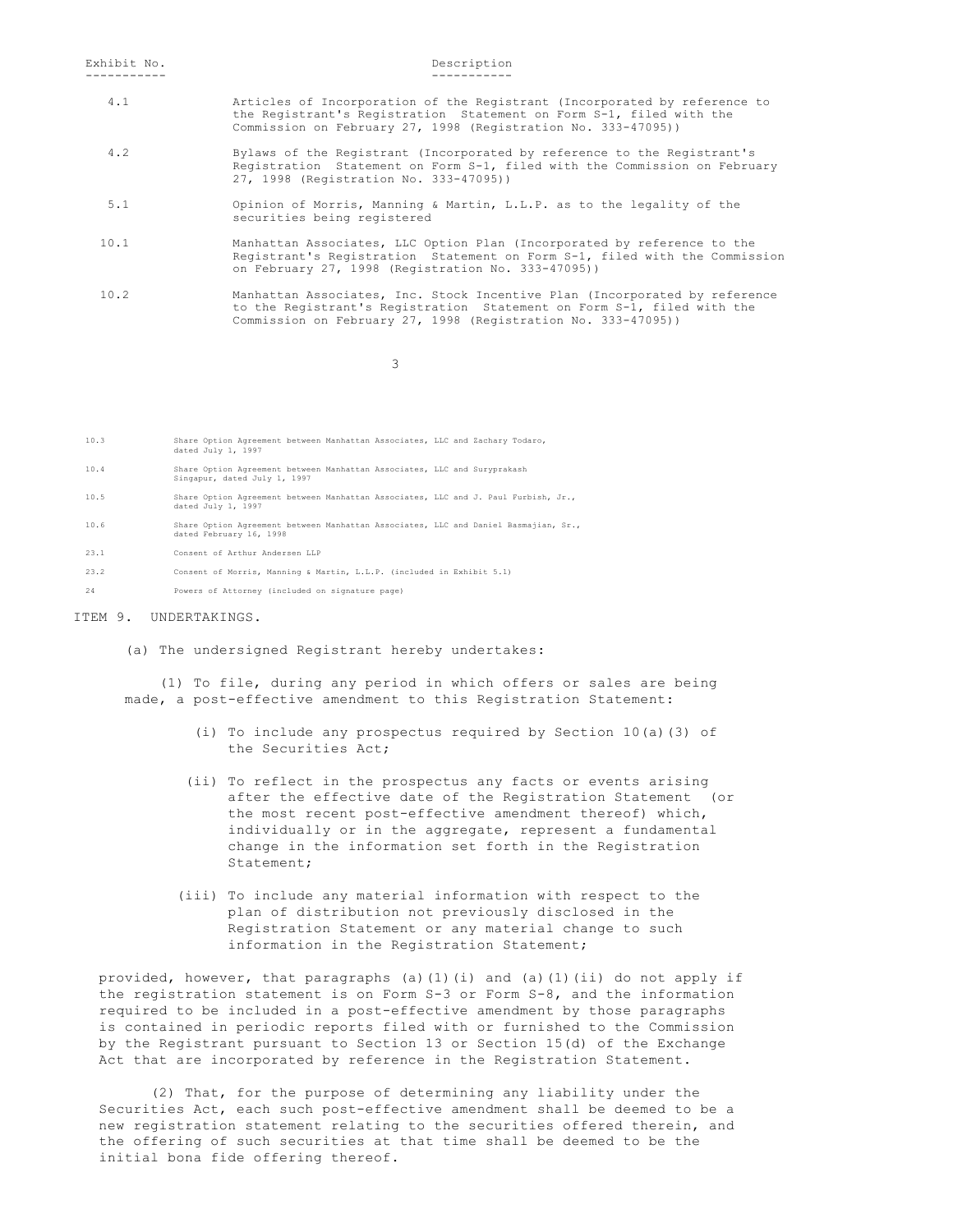# ----------- -----------

- 4.1 Articles of Incorporation of the Registrant (Incorporated by reference to the Registrant's Registration Statement on Form S-1, filed with the Commission on February 27, 1998 (Registration No. 333-47095))
- 4.2 Bylaws of the Registrant (Incorporated by reference to the Registrant's Registration Statement on Form S-1, filed with the Commission on February 27, 1998 (Registration No. 333-47095))
	- 5.1 Opinion of Morris, Manning & Martin, L.L.P. as to the legality of the securities being registered
	- 10.1 Manhattan Associates, LLC Option Plan (Incorporated by reference to the Registrant's Registration Statement on Form S-1, filed with the Commission on February 27, 1998 (Registration No. 333-47095))
	- 10.2 Manhattan Associates, Inc. Stock Incentive Plan (Incorporated by reference to the Registrant's Registration Statement on Form S-1, filed with the Commission on February 27, 1998 (Registration No. 333-47095))

3

| 10.3 | Share Option Agreement between Manhattan Associates, LLC and Zachary Todaro,<br>dated July 1, 1997             |
|------|----------------------------------------------------------------------------------------------------------------|
| 10.4 | Share Option Agreement between Manhattan Associates, LLC and Suryprakash<br>Singapur, dated July 1, 1997       |
| 10.5 | Share Option Agreement between Manhattan Associates, LLC and J. Paul Furbish, Jr.,<br>dated July 1, 1997       |
| 10.6 | Share Option Agreement between Manhattan Associates, LLC and Daniel Basmajian, Sr.,<br>dated February 16, 1998 |
| 23.1 | Consent of Arthur Andersen LLP                                                                                 |
| 23.2 | Consent of Morris, Manning & Martin, L.L.P. (included in Exhibit 5.1)                                          |
| 24   | Powers of Attorney (included on signature page)                                                                |

# ITEM 9. UNDERTAKINGS.

(a) The undersigned Registrant hereby undertakes:

 (1) To file, during any period in which offers or sales are being made, a post-effective amendment to this Registration Statement:

- (i) To include any prospectus required by Section 10(a)(3) of the Securities Act;
- (ii) To reflect in the prospectus any facts or events arising after the effective date of the Registration Statement (or the most recent post-effective amendment thereof) which, individually or in the aggregate, represent a fundamental change in the information set forth in the Registration Statement;
- (iii) To include any material information with respect to the plan of distribution not previously disclosed in the Registration Statement or any material change to such information in the Registration Statement;

 provided, however, that paragraphs (a)(1)(i) and (a)(1)(ii) do not apply if the registration statement is on Form S-3 or Form S-8, and the information required to be included in a post-effective amendment by those paragraphs is contained in periodic reports filed with or furnished to the Commission by the Registrant pursuant to Section 13 or Section 15(d) of the Exchange Act that are incorporated by reference in the Registration Statement.

 (2) That, for the purpose of determining any liability under the Securities Act, each such post-effective amendment shall be deemed to be a new registration statement relating to the securities offered therein, and the offering of such securities at that time shall be deemed to be the initial bona fide offering thereof.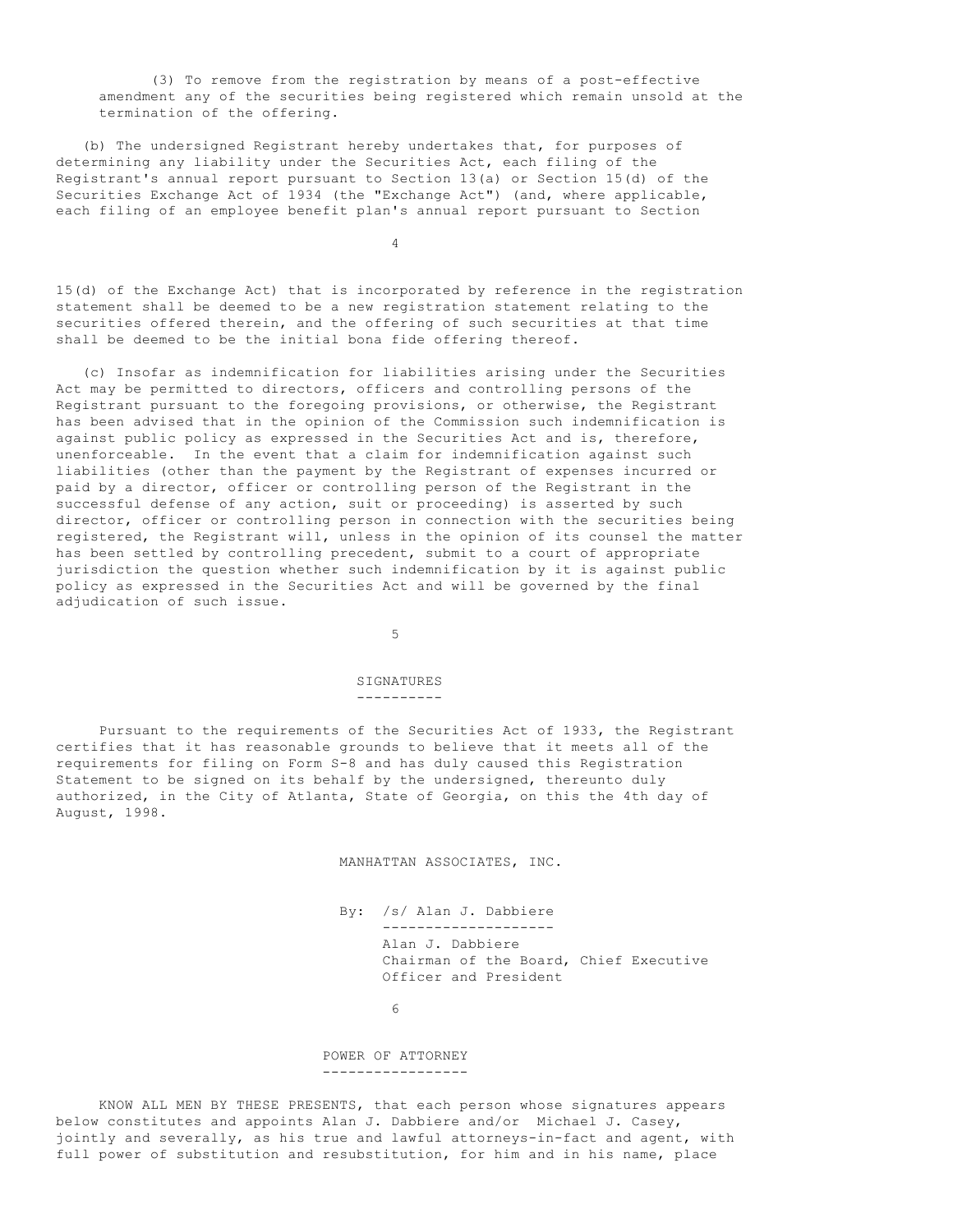(3) To remove from the registration by means of a post-effective amendment any of the securities being registered which remain unsold at the termination of the offering.

 (b) The undersigned Registrant hereby undertakes that, for purposes of determining any liability under the Securities Act, each filing of the Registrant's annual report pursuant to Section 13(a) or Section 15(d) of the Securities Exchange Act of 1934 (the "Exchange Act") (and, where applicable, each filing of an employee benefit plan's annual report pursuant to Section

4

15(d) of the Exchange Act) that is incorporated by reference in the registration statement shall be deemed to be a new registration statement relating to the securities offered therein, and the offering of such securities at that time shall be deemed to be the initial bona fide offering thereof.

 (c) Insofar as indemnification for liabilities arising under the Securities Act may be permitted to directors, officers and controlling persons of the Registrant pursuant to the foregoing provisions, or otherwise, the Registrant has been advised that in the opinion of the Commission such indemnification is against public policy as expressed in the Securities Act and is, therefore, unenforceable. In the event that a claim for indemnification against such liabilities (other than the payment by the Registrant of expenses incurred or paid by a director, officer or controlling person of the Registrant in the successful defense of any action, suit or proceeding) is asserted by such director, officer or controlling person in connection with the securities being registered, the Registrant will, unless in the opinion of its counsel the matter has been settled by controlling precedent, submit to a court of appropriate jurisdiction the question whether such indemnification by it is against public policy as expressed in the Securities Act and will be governed by the final adjudication of such issue.

 $5<sub>5</sub>$ 

#### SIGNATURES ----------

 Pursuant to the requirements of the Securities Act of 1933, the Registrant certifies that it has reasonable grounds to believe that it meets all of the requirements for filing on Form S-8 and has duly caused this Registration Statement to be signed on its behalf by the undersigned, thereunto duly authorized, in the City of Atlanta, State of Georgia, on this the 4th day of August, 1998.

MANHATTAN ASSOCIATES, INC.

 By: /s/ Alan J. Dabbiere -------------------- Alan J. Dabbiere Chairman of the Board, Chief Executive Officer and President

 $\sim$  6

#### POWER OF ATTORNEY -----------------

 KNOW ALL MEN BY THESE PRESENTS, that each person whose signatures appears below constitutes and appoints Alan J. Dabbiere and/or Michael J. Casey, jointly and severally, as his true and lawful attorneys-in-fact and agent, with full power of substitution and resubstitution, for him and in his name, place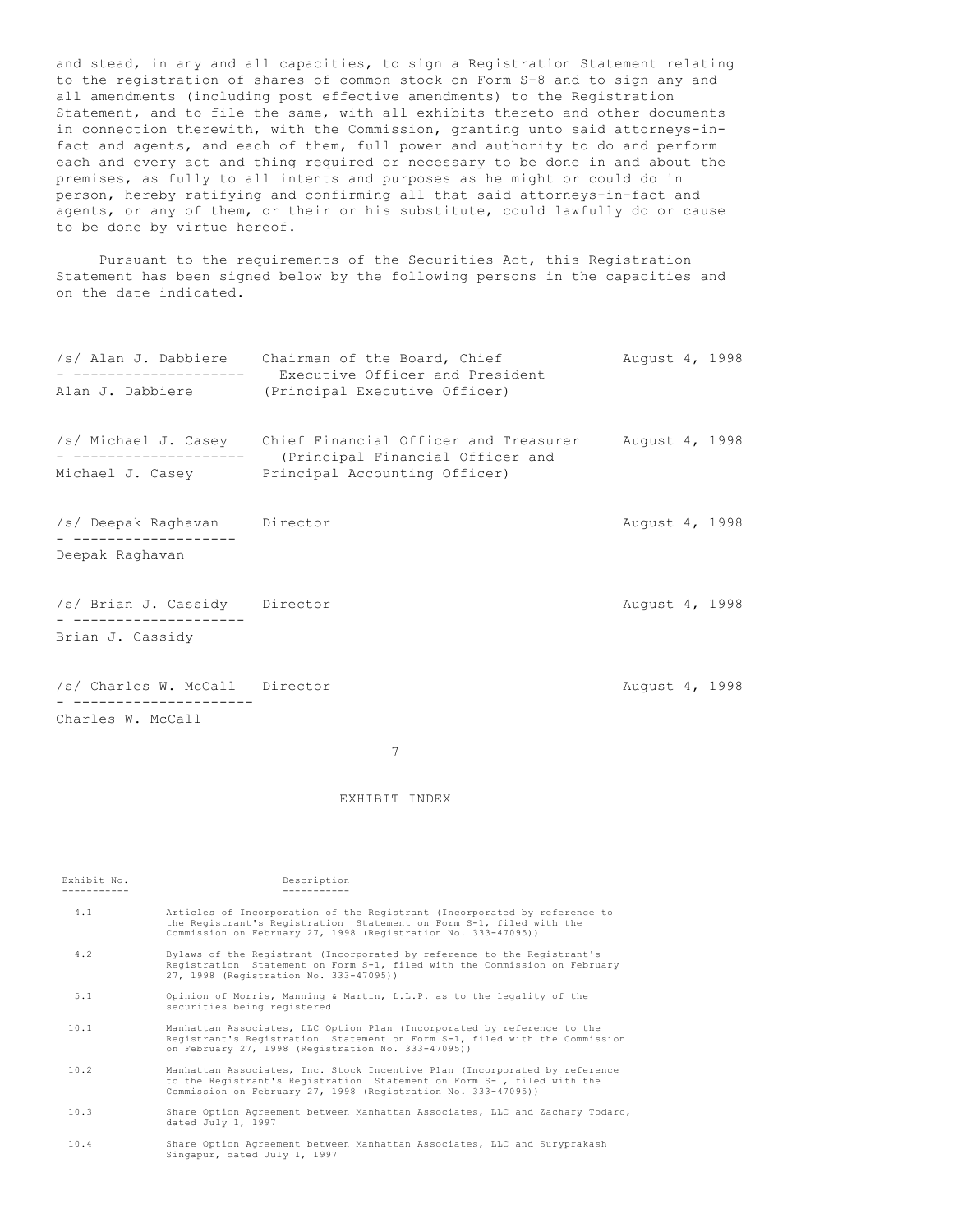and stead, in any and all capacities, to sign a Registration Statement relating to the registration of shares of common stock on Form S-8 and to sign any and all amendments (including post effective amendments) to the Registration Statement, and to file the same, with all exhibits thereto and other documents in connection therewith, with the Commission, granting unto said attorneys-infact and agents, and each of them, full power and authority to do and perform each and every act and thing required or necessary to be done in and about the premises, as fully to all intents and purposes as he might or could do in person, hereby ratifying and confirming all that said attorneys-in-fact and agents, or any of them, or their or his substitute, could lawfully do or cause to be done by virtue hereof.

 Pursuant to the requirements of the Securities Act, this Registration Statement has been signed below by the following persons in the capacities and on the date indicated.

| . _ _ _ _ _ _ _ _ _ _ _ _ _ _ _ _                   | /s/ Alan J. Dabbiere Chairman of the Board, Chief<br>Executive Officer and President<br>Alan J. Dabbiere (Principal Executive Officer)           | August 4, 1998 |  |
|-----------------------------------------------------|--------------------------------------------------------------------------------------------------------------------------------------------------|----------------|--|
|                                                     | /s/ Michael J. Casey Chief Financial Officer and Treasurer<br>(Principal Financial Officer and<br>Michael J. Casey Principal Accounting Officer) | August 4, 1998 |  |
| /s/ Deepak Raghavan Director<br>Deepak Raghavan     |                                                                                                                                                  | August 4, 1998 |  |
| /s/ Brian J. Cassidy Director<br>Brian J. Cassidy   |                                                                                                                                                  | August 4, 1998 |  |
| /s/ Charles W. McCall Director<br>Charles W. McCall |                                                                                                                                                  | August 4, 1998 |  |

7

# EXHIBIT INDEX

| Exhibit No.<br>---------- | Description                                                                                                                                                                                                           |
|---------------------------|-----------------------------------------------------------------------------------------------------------------------------------------------------------------------------------------------------------------------|
| 4.1                       | Articles of Incorporation of the Registrant (Incorporated by reference to<br>the Registrant's Registration Statement on Form S-1, filed with the<br>Commission on February 27, 1998 (Registration No. 333-47095))     |
| 4.2                       | Bylaws of the Registrant (Incorporated by reference to the Registrant's<br>Registration Statement on Form S-1, filed with the Commission on February<br>27, 1998 (Registration No. 333-47095))                        |
| 5.1                       | Opinion of Morris, Manning & Martin, L.L.P. as to the legality of the<br>securities being registered                                                                                                                  |
| 10.1                      | Manhattan Associates, LLC Option Plan (Incorporated by reference to the<br>Registrant's Registration Statement on Form S-1, filed with the Commission<br>on February 27, 1998 (Registration No. 333-47095))           |
| 10.2                      | Manhattan Associates, Inc. Stock Incentive Plan (Incorporated by reference<br>to the Registrant's Registration Statement on Form S-1, filed with the<br>Commission on February 27, 1998 (Registration No. 333-47095)) |
| 10.3                      | Share Option Agreement between Manhattan Associates, LLC and Zachary Todaro,<br>dated July 1, 1997                                                                                                                    |
| 10.4                      | Share Option Agreement between Manhattan Associates, LLC and Suryprakash<br>Singapur, dated July 1, 1997                                                                                                              |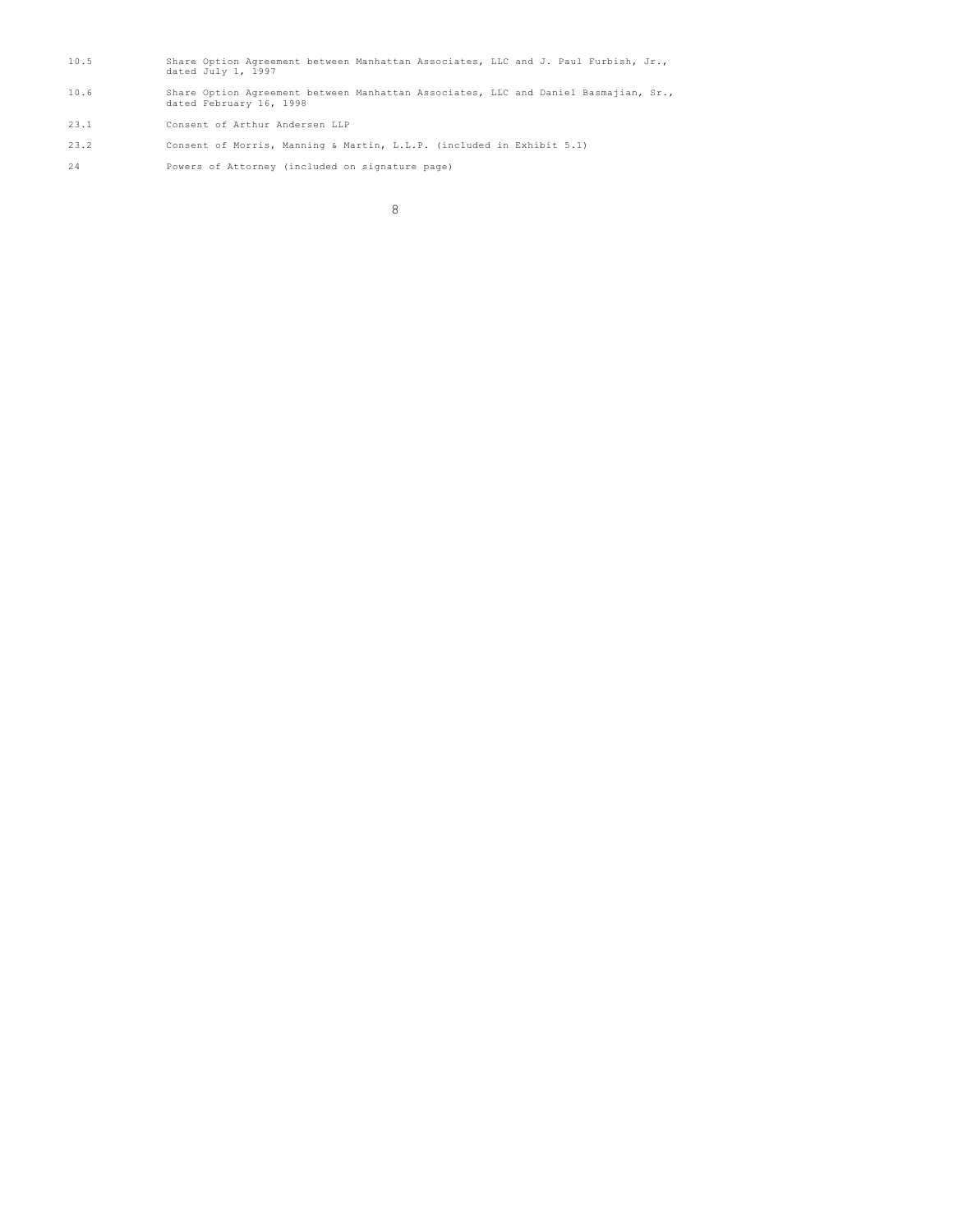- 10.5 Share Option Agreement between Manhattan Associates, LLC and J. Paul Furbish, Jr., dated July 1, 1997
- 10.6 Share Option Agreement between Manhattan Associates, LLC and Daniel Basmajian, Sr., dated February 16, 1998
- 23.1 Consent of Arthur Andersen LLP
- 23.2 Consent of Morris, Manning & Martin, L.L.P. (included in Exhibit 5.1)
- 24 Powers of Attorney (included on signature page)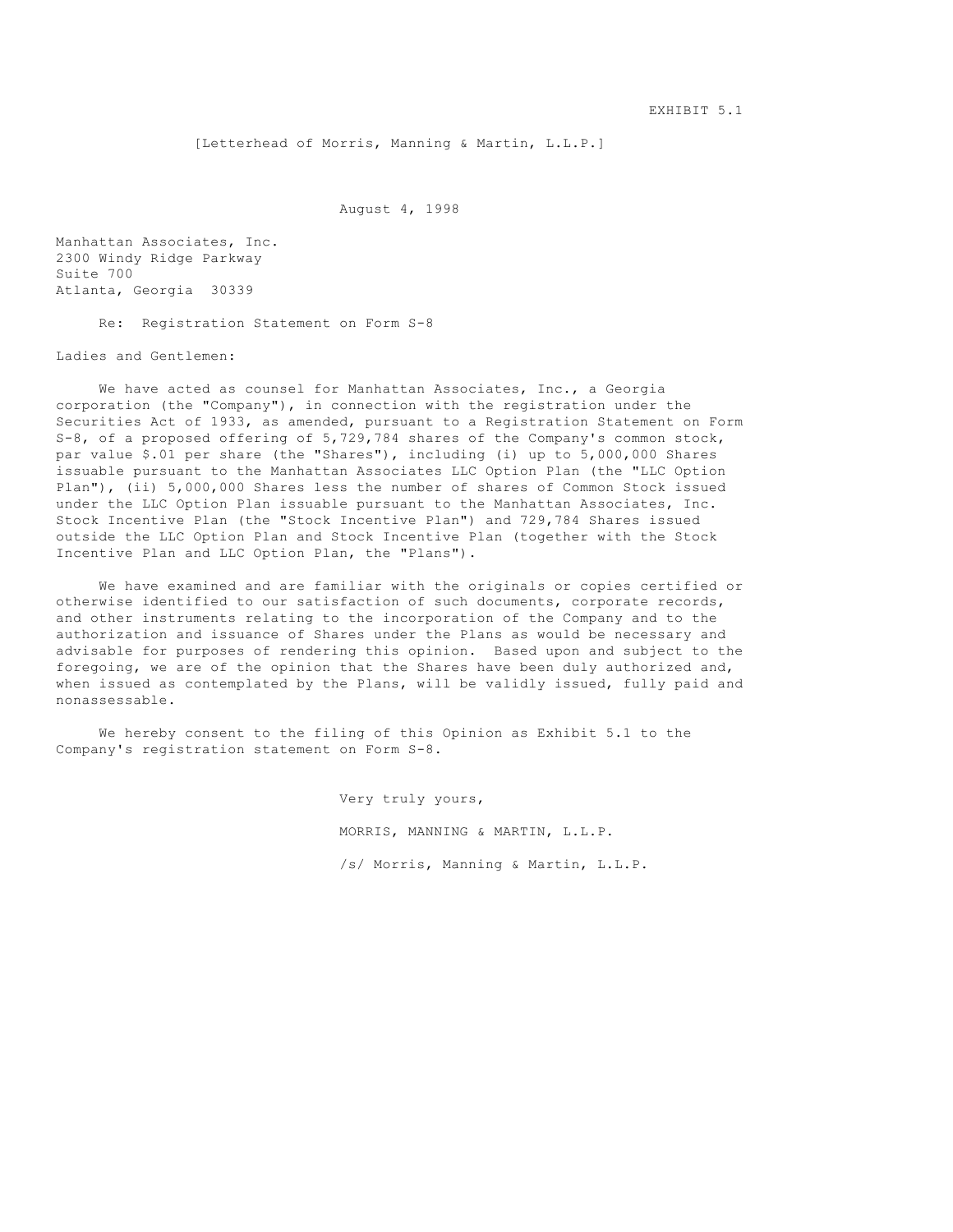[Letterhead of Morris, Manning & Martin, L.L.P.]

August 4, 1998

Manhattan Associates, Inc. 2300 Windy Ridge Parkway Suite 700 Atlanta, Georgia 30339

Re: Registration Statement on Form S-8

Ladies and Gentlemen:

We have acted as counsel for Manhattan Associates, Inc., a Georgia corporation (the "Company"), in connection with the registration under the Securities Act of 1933, as amended, pursuant to a Registration Statement on Form S-8, of a proposed offering of 5,729,784 shares of the Company's common stock, par value \$.01 per share (the "Shares"), including (i) up to 5,000,000 Shares issuable pursuant to the Manhattan Associates LLC Option Plan (the "LLC Option Plan"), (ii) 5,000,000 Shares less the number of shares of Common Stock issued under the LLC Option Plan issuable pursuant to the Manhattan Associates, Inc. Stock Incentive Plan (the "Stock Incentive Plan") and 729,784 Shares issued outside the LLC Option Plan and Stock Incentive Plan (together with the Stock Incentive Plan and LLC Option Plan, the "Plans").

 We have examined and are familiar with the originals or copies certified or otherwise identified to our satisfaction of such documents, corporate records, and other instruments relating to the incorporation of the Company and to the authorization and issuance of Shares under the Plans as would be necessary and advisable for purposes of rendering this opinion. Based upon and subject to the foregoing, we are of the opinion that the Shares have been duly authorized and, when issued as contemplated by the Plans, will be validly issued, fully paid and nonassessable.

 We hereby consent to the filing of this Opinion as Exhibit 5.1 to the Company's registration statement on Form S-8.

> Very truly yours, MORRIS, MANNING & MARTIN, L.L.P. /s/ Morris, Manning & Martin, L.L.P.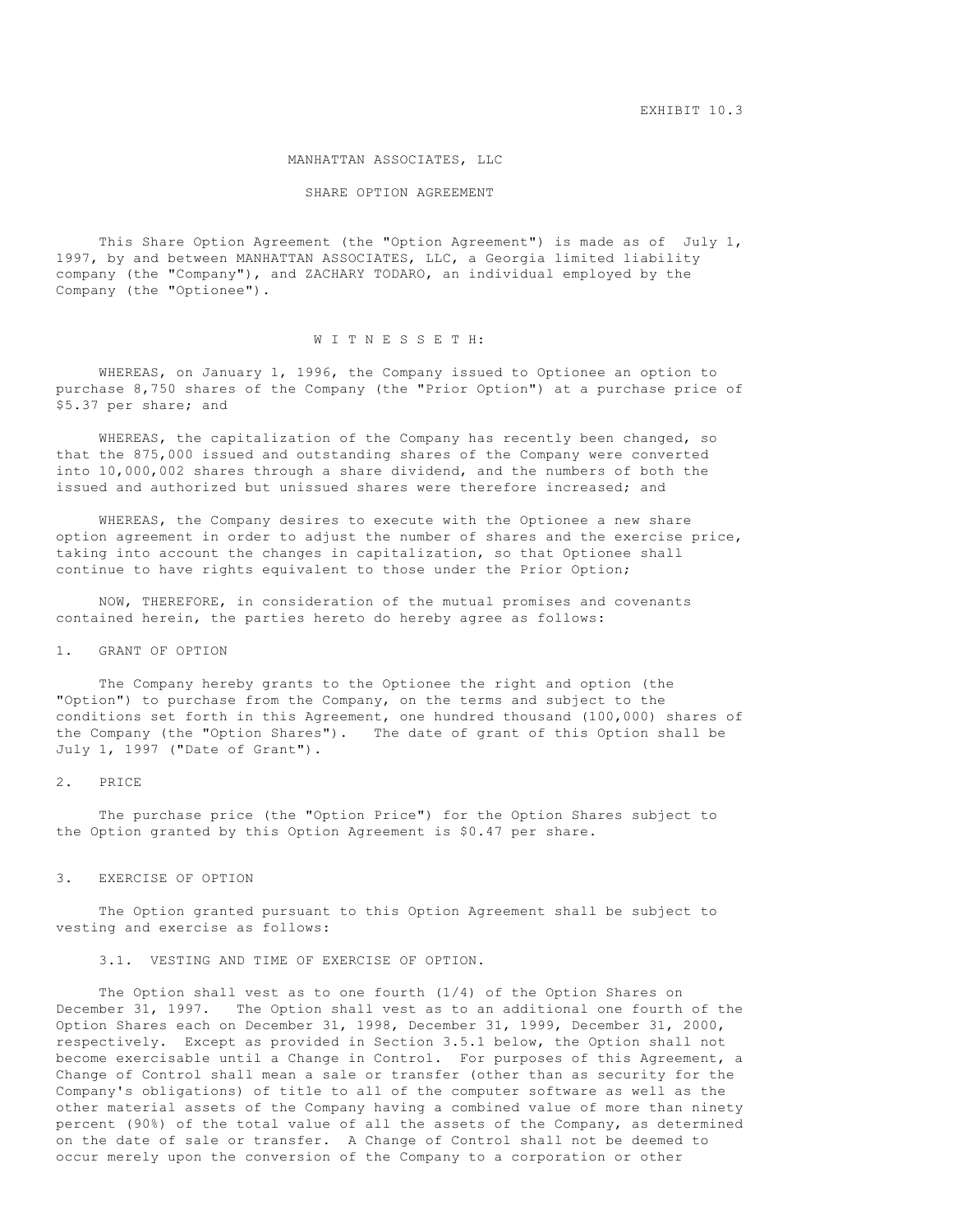EXHIBIT 10.3

#### MANHATTAN ASSOCIATES, LLC

#### SHARE OPTION AGREEMENT

 This Share Option Agreement (the "Option Agreement") is made as of July 1, 1997, by and between MANHATTAN ASSOCIATES, LLC, a Georgia limited liability company (the "Company"), and ZACHARY TODARO, an individual employed by the Company (the "Optionee").

# W I T N E S S E T H:

 WHEREAS, on January 1, 1996, the Company issued to Optionee an option to purchase 8,750 shares of the Company (the "Prior Option") at a purchase price of \$5.37 per share; and

 WHEREAS, the capitalization of the Company has recently been changed, so that the 875,000 issued and outstanding shares of the Company were converted into 10,000,002 shares through a share dividend, and the numbers of both the issued and authorized but unissued shares were therefore increased; and

 WHEREAS, the Company desires to execute with the Optionee a new share option agreement in order to adjust the number of shares and the exercise price, taking into account the changes in capitalization, so that Optionee shall continue to have rights equivalent to those under the Prior Option;

 NOW, THEREFORE, in consideration of the mutual promises and covenants contained herein, the parties hereto do hereby agree as follows:

# 1. GRANT OF OPTION

 The Company hereby grants to the Optionee the right and option (the "Option") to purchase from the Company, on the terms and subject to the conditions set forth in this Agreement, one hundred thousand (100,000) shares of the Company (the "Option Shares"). The date of grant of this Option shall be July 1, 1997 ("Date of Grant").

### 2. PRICE

 The purchase price (the "Option Price") for the Option Shares subject to the Option granted by this Option Agreement is \$0.47 per share.

#### 3. EXERCISE OF OPTION

 The Option granted pursuant to this Option Agreement shall be subject to vesting and exercise as follows:

3.1. VESTING AND TIME OF EXERCISE OF OPTION.

 The Option shall vest as to one fourth (1/4) of the Option Shares on December 31, 1997. The Option shall vest as to an additional one fourth of the Option Shares each on December 31, 1998, December 31, 1999, December 31, 2000, respectively. Except as provided in Section 3.5.1 below, the Option shall not become exercisable until a Change in Control. For purposes of this Agreement, a Change of Control shall mean a sale or transfer (other than as security for the Company's obligations) of title to all of the computer software as well as the other material assets of the Company having a combined value of more than ninety percent (90%) of the total value of all the assets of the Company, as determined on the date of sale or transfer. A Change of Control shall not be deemed to occur merely upon the conversion of the Company to a corporation or other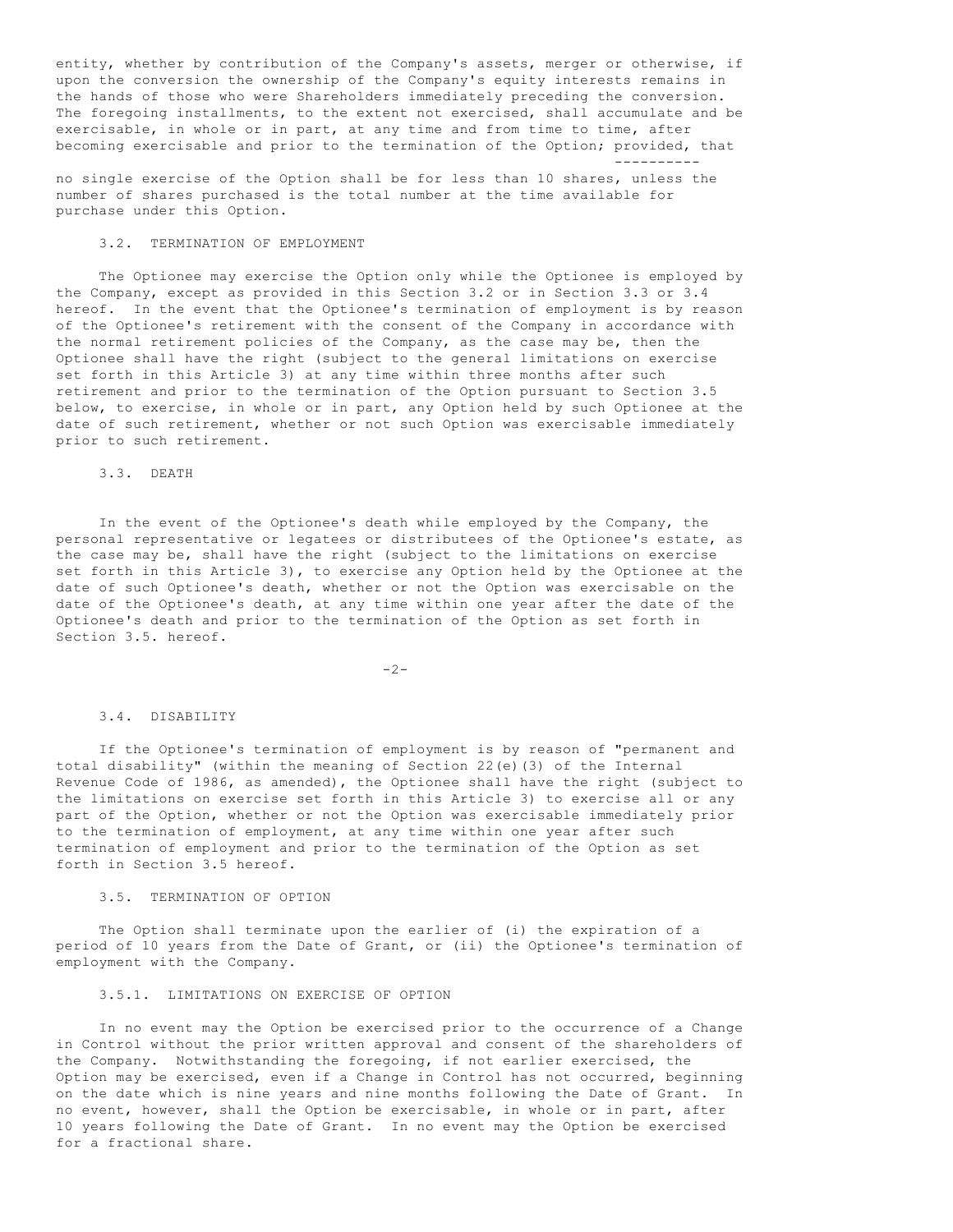entity, whether by contribution of the Company's assets, merger or otherwise, if upon the conversion the ownership of the Company's equity interests remains in the hands of those who were Shareholders immediately preceding the conversion. The foregoing installments, to the extent not exercised, shall accumulate and be exercisable, in whole or in part, at any time and from time to time, after becoming exercisable and prior to the termination of the Option; provided, that ----------

no single exercise of the Option shall be for less than 10 shares, unless the number of shares purchased is the total number at the time available for purchase under this Option.

# 3.2. TERMINATION OF EMPLOYMENT

 The Optionee may exercise the Option only while the Optionee is employed by the Company, except as provided in this Section 3.2 or in Section 3.3 or 3.4 hereof. In the event that the Optionee's termination of employment is by reason of the Optionee's retirement with the consent of the Company in accordance with the normal retirement policies of the Company, as the case may be, then the Optionee shall have the right (subject to the general limitations on exercise set forth in this Article 3) at any time within three months after such retirement and prior to the termination of the Option pursuant to Section 3.5 below, to exercise, in whole or in part, any Option held by such Optionee at the date of such retirement, whether or not such Option was exercisable immediately prior to such retirement.

3.3. DEATH

 In the event of the Optionee's death while employed by the Company, the personal representative or legatees or distributees of the Optionee's estate, as the case may be, shall have the right (subject to the limitations on exercise set forth in this Article 3), to exercise any Option held by the Optionee at the date of such Optionee's death, whether or not the Option was exercisable on the date of the Optionee's death, at any time within one year after the date of the Optionee's death and prior to the termination of the Option as set forth in Section 3.5. hereof.

 $-2-$ 

# 3.4. DISABILITY

 If the Optionee's termination of employment is by reason of "permanent and total disability" (within the meaning of Section 22(e)(3) of the Internal Revenue Code of 1986, as amended), the Optionee shall have the right (subject to the limitations on exercise set forth in this Article 3) to exercise all or any part of the Option, whether or not the Option was exercisable immediately prior to the termination of employment, at any time within one year after such termination of employment and prior to the termination of the Option as set forth in Section 3.5 hereof.

### 3.5. TERMINATION OF OPTION

 The Option shall terminate upon the earlier of (i) the expiration of a period of 10 years from the Date of Grant, or (ii) the Optionee's termination of employment with the Company.

### 3.5.1. LIMITATIONS ON EXERCISE OF OPTION

 In no event may the Option be exercised prior to the occurrence of a Change in Control without the prior written approval and consent of the shareholders of the Company. Notwithstanding the foregoing, if not earlier exercised, the Option may be exercised, even if a Change in Control has not occurred, beginning on the date which is nine years and nine months following the Date of Grant. In no event, however, shall the Option be exercisable, in whole or in part, after 10 years following the Date of Grant. In no event may the Option be exercised for a fractional share.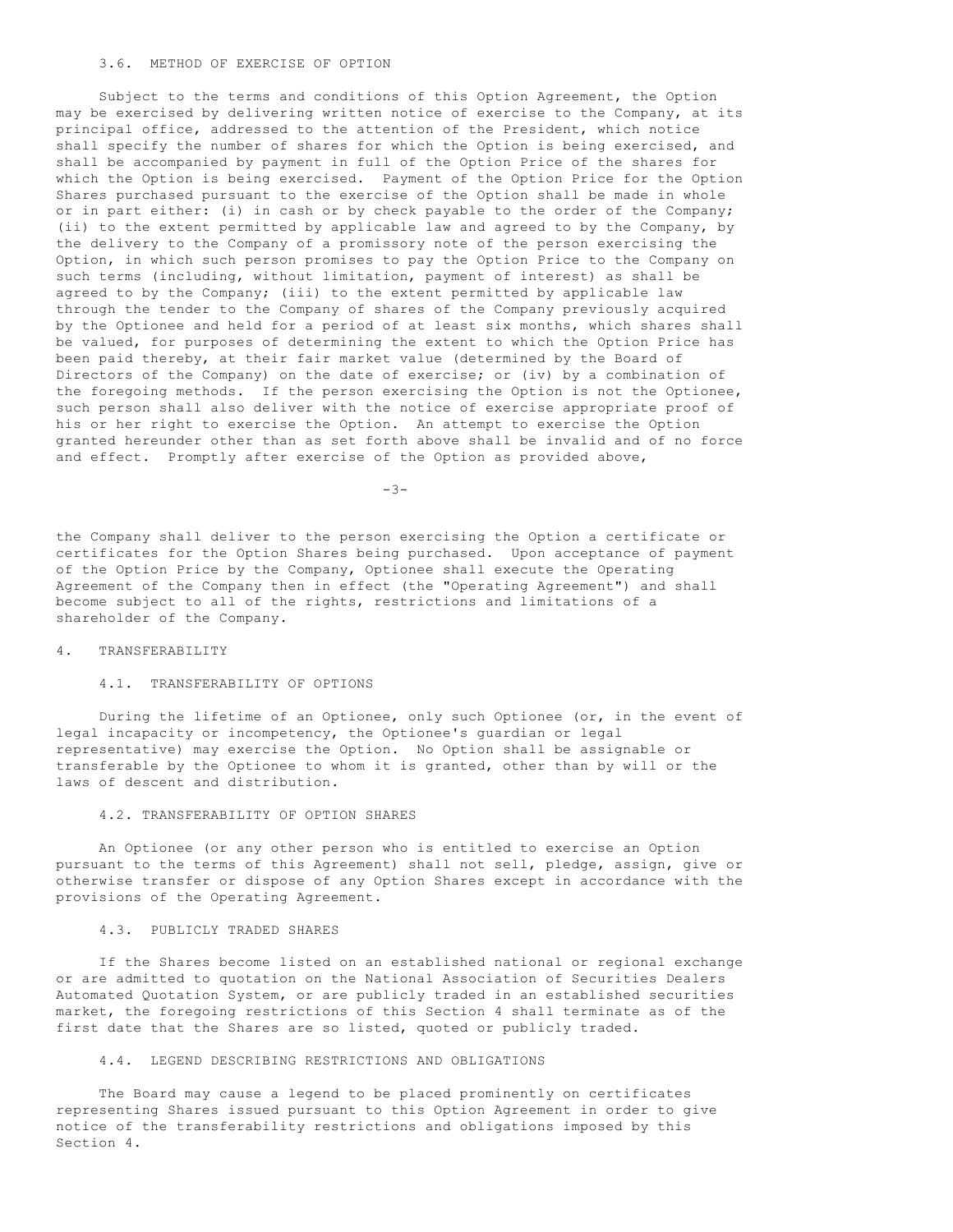# 3.6. METHOD OF EXERCISE OF OPTION

 Subject to the terms and conditions of this Option Agreement, the Option may be exercised by delivering written notice of exercise to the Company, at its principal office, addressed to the attention of the President, which notice shall specify the number of shares for which the Option is being exercised, and shall be accompanied by payment in full of the Option Price of the shares for which the Option is being exercised. Payment of the Option Price for the Option Shares purchased pursuant to the exercise of the Option shall be made in whole or in part either: (i) in cash or by check payable to the order of the Company; (ii) to the extent permitted by applicable law and agreed to by the Company, by the delivery to the Company of a promissory note of the person exercising the Option, in which such person promises to pay the Option Price to the Company on such terms (including, without limitation, payment of interest) as shall be agreed to by the Company; (iii) to the extent permitted by applicable law through the tender to the Company of shares of the Company previously acquired by the Optionee and held for a period of at least six months, which shares shall be valued, for purposes of determining the extent to which the Option Price has been paid thereby, at their fair market value (determined by the Board of Directors of the Company) on the date of exercise; or (iv) by a combination of the foregoing methods. If the person exercising the Option is not the Optionee, such person shall also deliver with the notice of exercise appropriate proof of his or her right to exercise the Option. An attempt to exercise the Option granted hereunder other than as set forth above shall be invalid and of no force and effect. Promptly after exercise of the Option as provided above,

-3-

the Company shall deliver to the person exercising the Option a certificate or certificates for the Option Shares being purchased. Upon acceptance of payment of the Option Price by the Company, Optionee shall execute the Operating Agreement of the Company then in effect (the "Operating Agreement") and shall become subject to all of the rights, restrictions and limitations of a shareholder of the Company.

### 4. TRANSFERABILITY

# 4.1. TRANSFERABILITY OF OPTIONS

 During the lifetime of an Optionee, only such Optionee (or, in the event of legal incapacity or incompetency, the Optionee's guardian or legal representative) may exercise the Option. No Option shall be assignable or transferable by the Optionee to whom it is granted, other than by will or the laws of descent and distribution.

# 4.2. TRANSFERABILITY OF OPTION SHARES

 An Optionee (or any other person who is entitled to exercise an Option pursuant to the terms of this Agreement) shall not sell, pledge, assign, give or otherwise transfer or dispose of any Option Shares except in accordance with the provisions of the Operating Agreement.

### 4.3. PUBLICLY TRADED SHARES

 If the Shares become listed on an established national or regional exchange or are admitted to quotation on the National Association of Securities Dealers Automated Quotation System, or are publicly traded in an established securities market, the foregoing restrictions of this Section 4 shall terminate as of the first date that the Shares are so listed, quoted or publicly traded.

# 4.4. LEGEND DESCRIBING RESTRICTIONS AND OBLIGATIONS

 The Board may cause a legend to be placed prominently on certificates representing Shares issued pursuant to this Option Agreement in order to give notice of the transferability restrictions and obligations imposed by this Section 4.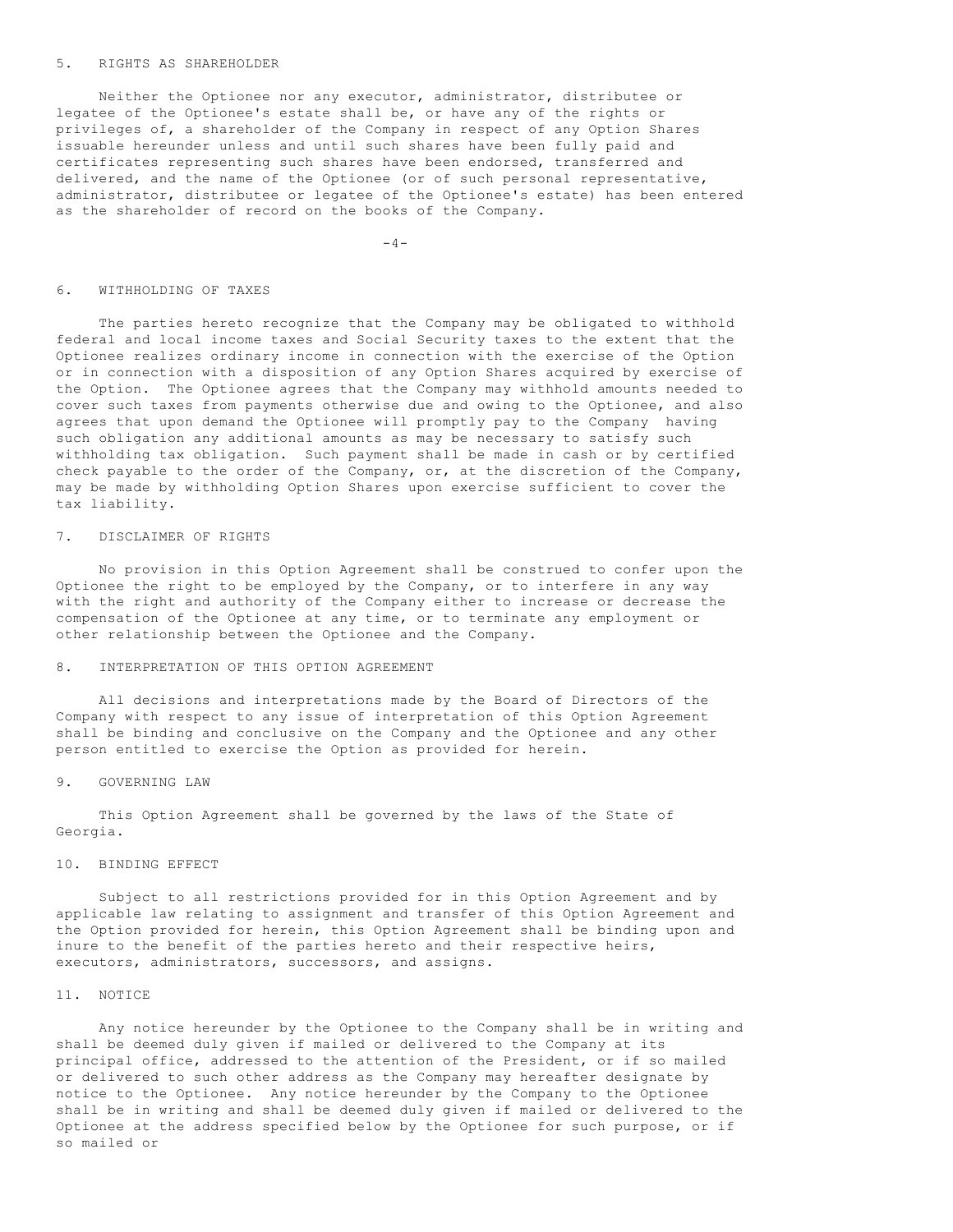#### 5. RIGHTS AS SHAREHOLDER

 Neither the Optionee nor any executor, administrator, distributee or legatee of the Optionee's estate shall be, or have any of the rights or privileges of, a shareholder of the Company in respect of any Option Shares issuable hereunder unless and until such shares have been fully paid and certificates representing such shares have been endorsed, transferred and delivered, and the name of the Optionee (or of such personal representative, administrator, distributee or legatee of the Optionee's estate) has been entered as the shareholder of record on the books of the Company.

 $-4-$ 

#### 6. WITHHOLDING OF TAXES

 The parties hereto recognize that the Company may be obligated to withhold federal and local income taxes and Social Security taxes to the extent that the Optionee realizes ordinary income in connection with the exercise of the Option or in connection with a disposition of any Option Shares acquired by exercise of the Option. The Optionee agrees that the Company may withhold amounts needed to cover such taxes from payments otherwise due and owing to the Optionee, and also agrees that upon demand the Optionee will promptly pay to the Company having such obligation any additional amounts as may be necessary to satisfy such withholding tax obligation. Such payment shall be made in cash or by certified check payable to the order of the Company, or, at the discretion of the Company, may be made by withholding Option Shares upon exercise sufficient to cover the tax liability.

# 7. DISCLAIMER OF RIGHTS

 No provision in this Option Agreement shall be construed to confer upon the Optionee the right to be employed by the Company, or to interfere in any way with the right and authority of the Company either to increase or decrease the compensation of the Optionee at any time, or to terminate any employment or other relationship between the Optionee and the Company.

# 8. INTERPRETATION OF THIS OPTION AGREEMENT

 All decisions and interpretations made by the Board of Directors of the Company with respect to any issue of interpretation of this Option Agreement shall be binding and conclusive on the Company and the Optionee and any other person entitled to exercise the Option as provided for herein.

#### 9. GOVERNING LAW

 This Option Agreement shall be governed by the laws of the State of Georgia.

### 10. BINDING EFFECT

 Subject to all restrictions provided for in this Option Agreement and by applicable law relating to assignment and transfer of this Option Agreement and the Option provided for herein, this Option Agreement shall be binding upon and inure to the benefit of the parties hereto and their respective heirs, executors, administrators, successors, and assigns.

# 11. NOTICE

 Any notice hereunder by the Optionee to the Company shall be in writing and shall be deemed duly given if mailed or delivered to the Company at its principal office, addressed to the attention of the President, or if so mailed or delivered to such other address as the Company may hereafter designate by notice to the Optionee. Any notice hereunder by the Company to the Optionee shall be in writing and shall be deemed duly given if mailed or delivered to the Optionee at the address specified below by the Optionee for such purpose, or if so mailed or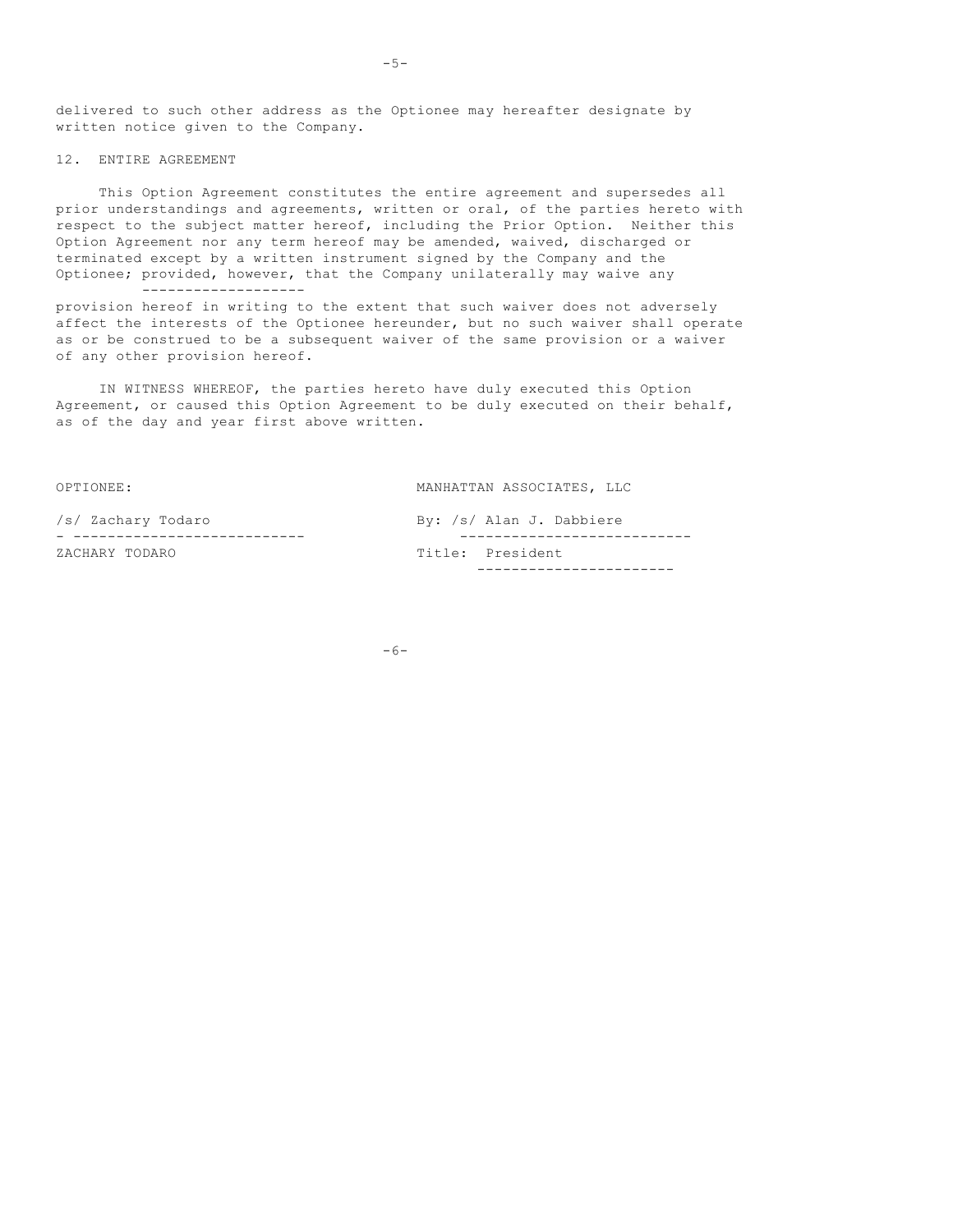delivered to such other address as the Optionee may hereafter designate by written notice given to the Company.

### 12. ENTIRE AGREEMENT

 This Option Agreement constitutes the entire agreement and supersedes all prior understandings and agreements, written or oral, of the parties hereto with respect to the subject matter hereof, including the Prior Option. Neither this Option Agreement nor any term hereof may be amended, waived, discharged or terminated except by a written instrument signed by the Company and the Optionee; provided, however, that the Company unilaterally may waive any -------------------

provision hereof in writing to the extent that such waiver does not adversely affect the interests of the Optionee hereunder, but no such waiver shall operate as or be construed to be a subsequent waiver of the same provision or a waiver of any other provision hereof.

 IN WITNESS WHEREOF, the parties hereto have duly executed this Option Agreement, or caused this Option Agreement to be duly executed on their behalf, as of the day and year first above written.

OPTIONEE: MANHATTAN ASSOCIATES, LLC /s/ Zachary Todaro By: /s/ Alan J. Dabbiere - --------------------------- --------------------------- ZACHARY TODARO **Title:** President -----------------------

 $-6-$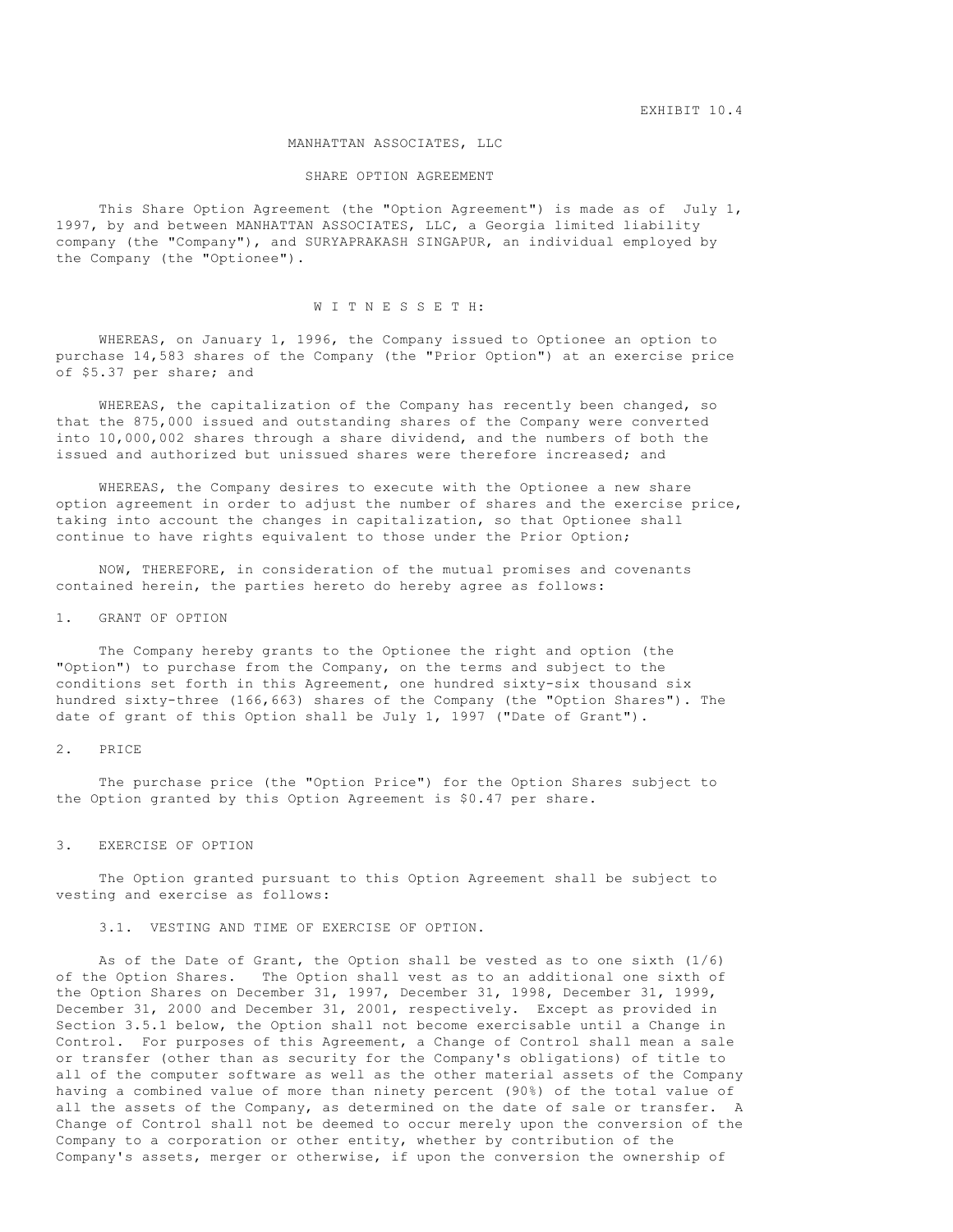EXHIBIT 10.4

#### MANHATTAN ASSOCIATES, LLC

#### SHARE OPTION AGREEMENT

 This Share Option Agreement (the "Option Agreement") is made as of July 1, 1997, by and between MANHATTAN ASSOCIATES, LLC, a Georgia limited liability company (the "Company"), and SURYAPRAKASH SINGAPUR, an individual employed by the Company (the "Optionee").

# W I T N E S S E T H:

 WHEREAS, on January 1, 1996, the Company issued to Optionee an option to purchase 14,583 shares of the Company (the "Prior Option") at an exercise price of \$5.37 per share; and

 WHEREAS, the capitalization of the Company has recently been changed, so that the 875,000 issued and outstanding shares of the Company were converted into 10,000,002 shares through a share dividend, and the numbers of both the issued and authorized but unissued shares were therefore increased; and

 WHEREAS, the Company desires to execute with the Optionee a new share option agreement in order to adjust the number of shares and the exercise price, taking into account the changes in capitalization, so that Optionee shall continue to have rights equivalent to those under the Prior Option;

 NOW, THEREFORE, in consideration of the mutual promises and covenants contained herein, the parties hereto do hereby agree as follows:

#### 1. GRANT OF OPTION

 The Company hereby grants to the Optionee the right and option (the "Option") to purchase from the Company, on the terms and subject to the conditions set forth in this Agreement, one hundred sixty-six thousand six hundred sixty-three (166,663) shares of the Company (the "Option Shares"). The date of grant of this Option shall be July 1, 1997 ("Date of Grant").

### 2. PRICE

 The purchase price (the "Option Price") for the Option Shares subject to the Option granted by this Option Agreement is \$0.47 per share.

### 3. EXERCISE OF OPTION

 The Option granted pursuant to this Option Agreement shall be subject to vesting and exercise as follows:

# 3.1. VESTING AND TIME OF EXERCISE OF OPTION.

 As of the Date of Grant, the Option shall be vested as to one sixth (1/6) of the Option Shares. The Option shall vest as to an additional one sixth of the Option Shares on December 31, 1997, December 31, 1998, December 31, 1999, December 31, 2000 and December 31, 2001, respectively. Except as provided in Section 3.5.1 below, the Option shall not become exercisable until a Change in Control. For purposes of this Agreement, a Change of Control shall mean a sale or transfer (other than as security for the Company's obligations) of title to all of the computer software as well as the other material assets of the Company having a combined value of more than ninety percent (90%) of the total value of all the assets of the Company, as determined on the date of sale or transfer. A Change of Control shall not be deemed to occur merely upon the conversion of the Company to a corporation or other entity, whether by contribution of the Company's assets, merger or otherwise, if upon the conversion the ownership of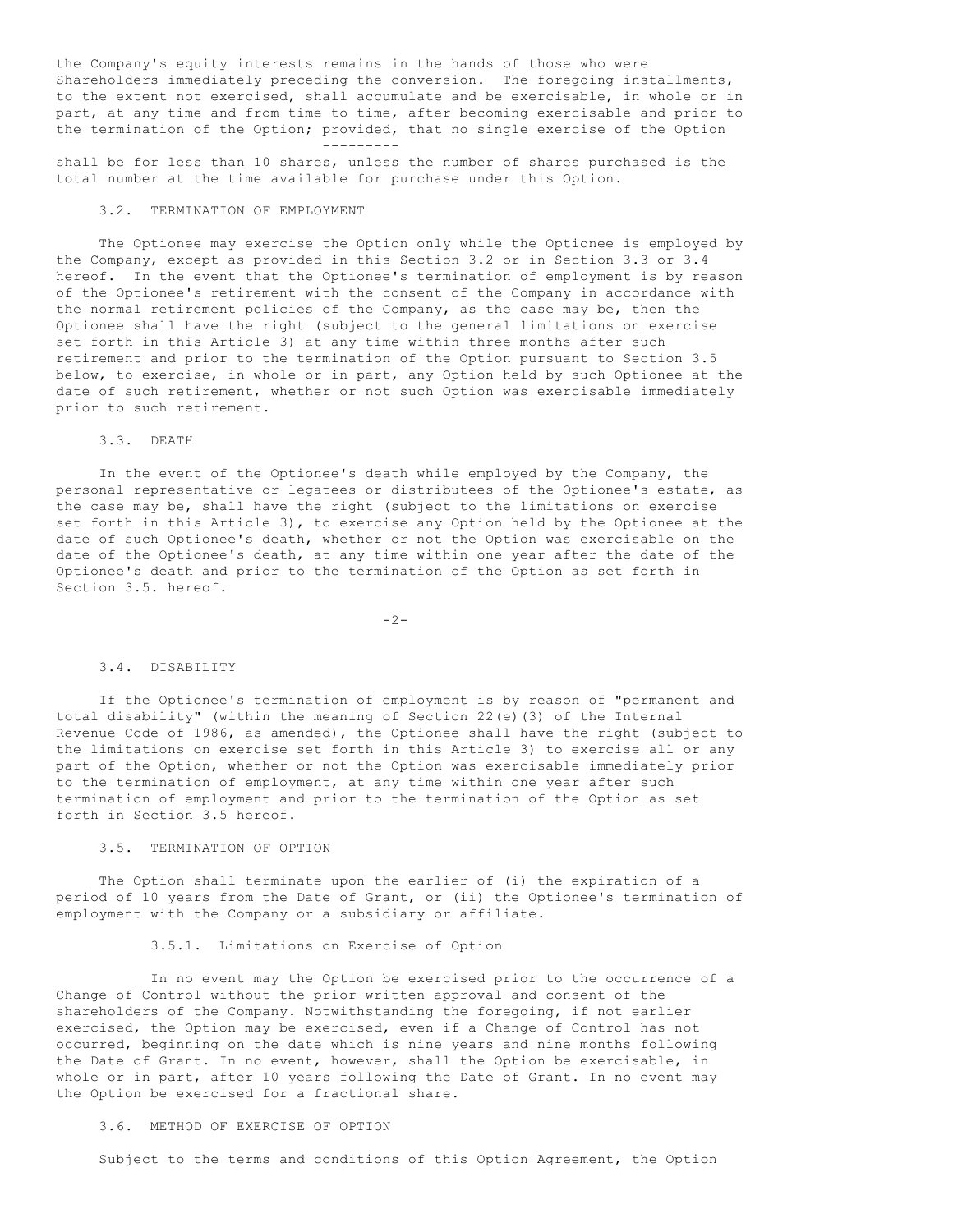the Company's equity interests remains in the hands of those who were Shareholders immediately preceding the conversion. The foregoing installments, to the extent not exercised, shall accumulate and be exercisable, in whole or in part, at any time and from time to time, after becoming exercisable and prior to the termination of the Option; provided, that no single exercise of the Option ---------

shall be for less than 10 shares, unless the number of shares purchased is the total number at the time available for purchase under this Option.

# 3.2. TERMINATION OF EMPLOYMENT

 The Optionee may exercise the Option only while the Optionee is employed by the Company, except as provided in this Section 3.2 or in Section 3.3 or 3.4 hereof. In the event that the Optionee's termination of employment is by reason of the Optionee's retirement with the consent of the Company in accordance with the normal retirement policies of the Company, as the case may be, then the Optionee shall have the right (subject to the general limitations on exercise set forth in this Article 3) at any time within three months after such retirement and prior to the termination of the Option pursuant to Section 3.5 below, to exercise, in whole or in part, any Option held by such Optionee at the date of such retirement, whether or not such Option was exercisable immediately prior to such retirement.

# 3.3. DEATH

 In the event of the Optionee's death while employed by the Company, the personal representative or legatees or distributees of the Optionee's estate, as the case may be, shall have the right (subject to the limitations on exercise set forth in this Article 3), to exercise any Option held by the Optionee at the date of such Optionee's death, whether or not the Option was exercisable on the date of the Optionee's death, at any time within one year after the date of the Optionee's death and prior to the termination of the Option as set forth in Section 3.5. hereof.

-2-

#### 3.4. DISABILITY

 If the Optionee's termination of employment is by reason of "permanent and total disability" (within the meaning of Section 22(e)(3) of the Internal Revenue Code of 1986, as amended), the Optionee shall have the right (subject to the limitations on exercise set forth in this Article 3) to exercise all or any part of the Option, whether or not the Option was exercisable immediately prior to the termination of employment, at any time within one year after such termination of employment and prior to the termination of the Option as set forth in Section 3.5 hereof.

# 3.5. TERMINATION OF OPTION

 The Option shall terminate upon the earlier of (i) the expiration of a period of 10 years from the Date of Grant, or (ii) the Optionee's termination of employment with the Company or a subsidiary or affiliate.

### 3.5.1. Limitations on Exercise of Option

 In no event may the Option be exercised prior to the occurrence of a Change of Control without the prior written approval and consent of the shareholders of the Company. Notwithstanding the foregoing, if not earlier exercised, the Option may be exercised, even if a Change of Control has not occurred, beginning on the date which is nine years and nine months following the Date of Grant. In no event, however, shall the Option be exercisable, in whole or in part, after 10 years following the Date of Grant. In no event may the Option be exercised for a fractional share.

#### 3.6. METHOD OF EXERCISE OF OPTION

Subject to the terms and conditions of this Option Agreement, the Option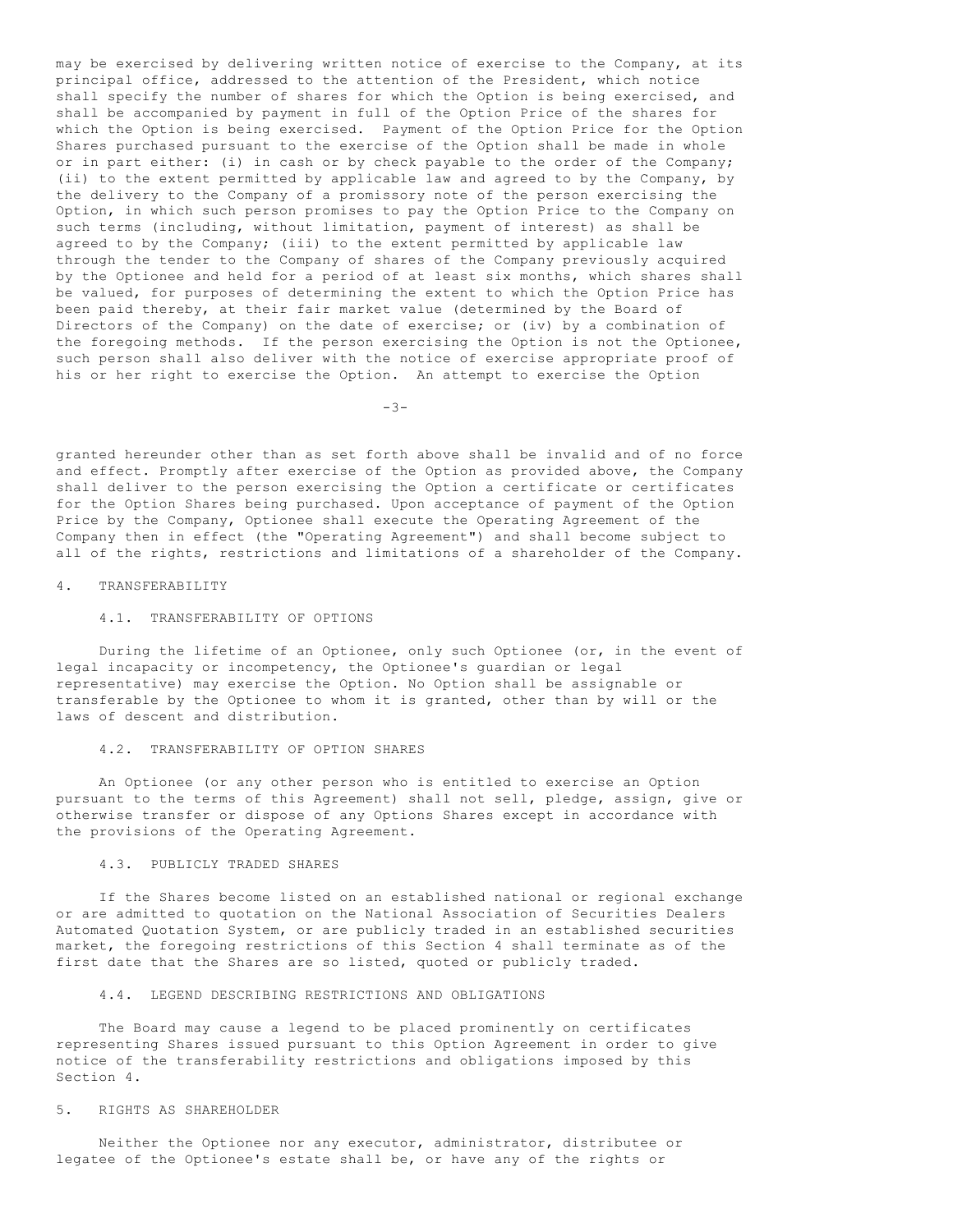may be exercised by delivering written notice of exercise to the Company, at its principal office, addressed to the attention of the President, which notice shall specify the number of shares for which the Option is being exercised, and shall be accompanied by payment in full of the Option Price of the shares for which the Option is being exercised. Payment of the Option Price for the Option Shares purchased pursuant to the exercise of the Option shall be made in whole or in part either: (i) in cash or by check payable to the order of the Company; (ii) to the extent permitted by applicable law and agreed to by the Company, by the delivery to the Company of a promissory note of the person exercising the Option, in which such person promises to pay the Option Price to the Company on such terms (including, without limitation, payment of interest) as shall be agreed to by the Company; (iii) to the extent permitted by applicable law through the tender to the Company of shares of the Company previously acquired by the Optionee and held for a period of at least six months, which shares shall be valued, for purposes of determining the extent to which the Option Price has been paid thereby, at their fair market value (determined by the Board of Directors of the Company) on the date of exercise; or (iv) by a combination of the foregoing methods. If the person exercising the Option is not the Optionee, such person shall also deliver with the notice of exercise appropriate proof of his or her right to exercise the Option. An attempt to exercise the Option

-3-

granted hereunder other than as set forth above shall be invalid and of no force and effect. Promptly after exercise of the Option as provided above, the Company shall deliver to the person exercising the Option a certificate or certificates for the Option Shares being purchased. Upon acceptance of payment of the Option Price by the Company, Optionee shall execute the Operating Agreement of the Company then in effect (the "Operating Agreement") and shall become subject to all of the rights, restrictions and limitations of a shareholder of the Company.

#### 4. TRANSFERABILITY

# 4.1. TRANSFERABILITY OF OPTIONS

 During the lifetime of an Optionee, only such Optionee (or, in the event of legal incapacity or incompetency, the Optionee's guardian or legal representative) may exercise the Option. No Option shall be assignable or transferable by the Optionee to whom it is granted, other than by will or the laws of descent and distribution.

# 4.2. TRANSFERABILITY OF OPTION SHARES

 An Optionee (or any other person who is entitled to exercise an Option pursuant to the terms of this Agreement) shall not sell, pledge, assign, give or otherwise transfer or dispose of any Options Shares except in accordance with the provisions of the Operating Agreement.

# 4.3. PUBLICLY TRADED SHARES

 If the Shares become listed on an established national or regional exchange or are admitted to quotation on the National Association of Securities Dealers Automated Quotation System, or are publicly traded in an established securities market, the foregoing restrictions of this Section 4 shall terminate as of the first date that the Shares are so listed, quoted or publicly traded.

### 4.4. LEGEND DESCRIBING RESTRICTIONS AND OBLIGATIONS

 The Board may cause a legend to be placed prominently on certificates representing Shares issued pursuant to this Option Agreement in order to give notice of the transferability restrictions and obligations imposed by this Section 4.

### 5. RIGHTS AS SHAREHOLDER

 Neither the Optionee nor any executor, administrator, distributee or legatee of the Optionee's estate shall be, or have any of the rights or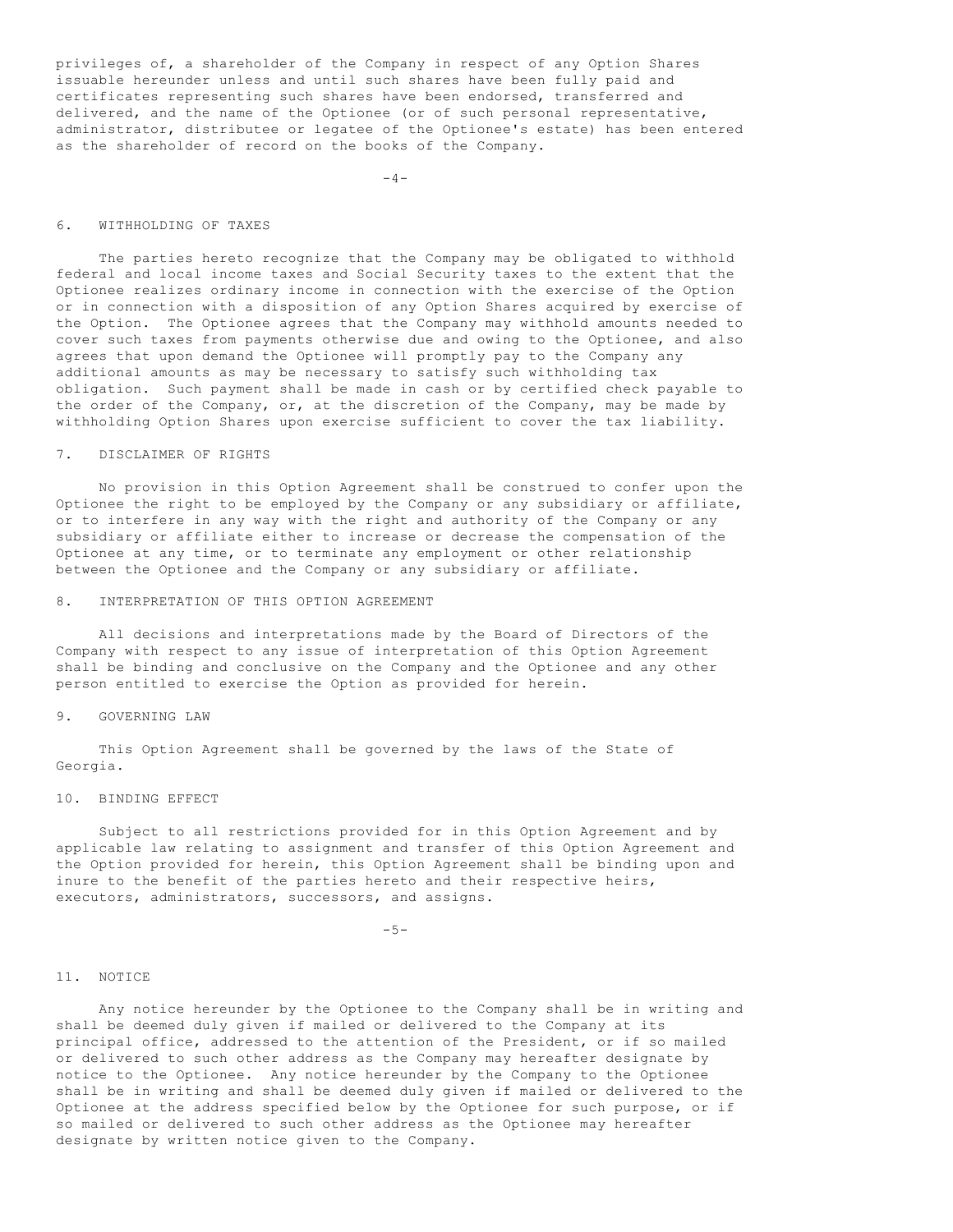privileges of, a shareholder of the Company in respect of any Option Shares issuable hereunder unless and until such shares have been fully paid and certificates representing such shares have been endorsed, transferred and delivered, and the name of the Optionee (or of such personal representative, administrator, distributee or legatee of the Optionee's estate) has been entered as the shareholder of record on the books of the Company.

 $-4-$ 

# 6. WITHHOLDING OF TAXES

 The parties hereto recognize that the Company may be obligated to withhold federal and local income taxes and Social Security taxes to the extent that the Optionee realizes ordinary income in connection with the exercise of the Option or in connection with a disposition of any Option Shares acquired by exercise of the Option. The Optionee agrees that the Company may withhold amounts needed to cover such taxes from payments otherwise due and owing to the Optionee, and also agrees that upon demand the Optionee will promptly pay to the Company any additional amounts as may be necessary to satisfy such withholding tax obligation. Such payment shall be made in cash or by certified check payable to the order of the Company, or, at the discretion of the Company, may be made by withholding Option Shares upon exercise sufficient to cover the tax liability.

# 7. DISCLAIMER OF RIGHTS

 No provision in this Option Agreement shall be construed to confer upon the Optionee the right to be employed by the Company or any subsidiary or affiliate, or to interfere in any way with the right and authority of the Company or any subsidiary or affiliate either to increase or decrease the compensation of the Optionee at any time, or to terminate any employment or other relationship between the Optionee and the Company or any subsidiary or affiliate.

#### 8. INTERPRETATION OF THIS OPTION AGREEMENT

 All decisions and interpretations made by the Board of Directors of the Company with respect to any issue of interpretation of this Option Agreement shall be binding and conclusive on the Company and the Optionee and any other person entitled to exercise the Option as provided for herein.

# 9. GOVERNING LAW

 This Option Agreement shall be governed by the laws of the State of Georgia.

# 10. BINDING EFFECT

 Subject to all restrictions provided for in this Option Agreement and by applicable law relating to assignment and transfer of this Option Agreement and the Option provided for herein, this Option Agreement shall be binding upon and inure to the benefit of the parties hereto and their respective heirs, executors, administrators, successors, and assigns.

 $-5-$ 

#### 11. NOTICE

 Any notice hereunder by the Optionee to the Company shall be in writing and shall be deemed duly given if mailed or delivered to the Company at its principal office, addressed to the attention of the President, or if so mailed or delivered to such other address as the Company may hereafter designate by notice to the Optionee. Any notice hereunder by the Company to the Optionee shall be in writing and shall be deemed duly given if mailed or delivered to the Optionee at the address specified below by the Optionee for such purpose, or if so mailed or delivered to such other address as the Optionee may hereafter designate by written notice given to the Company.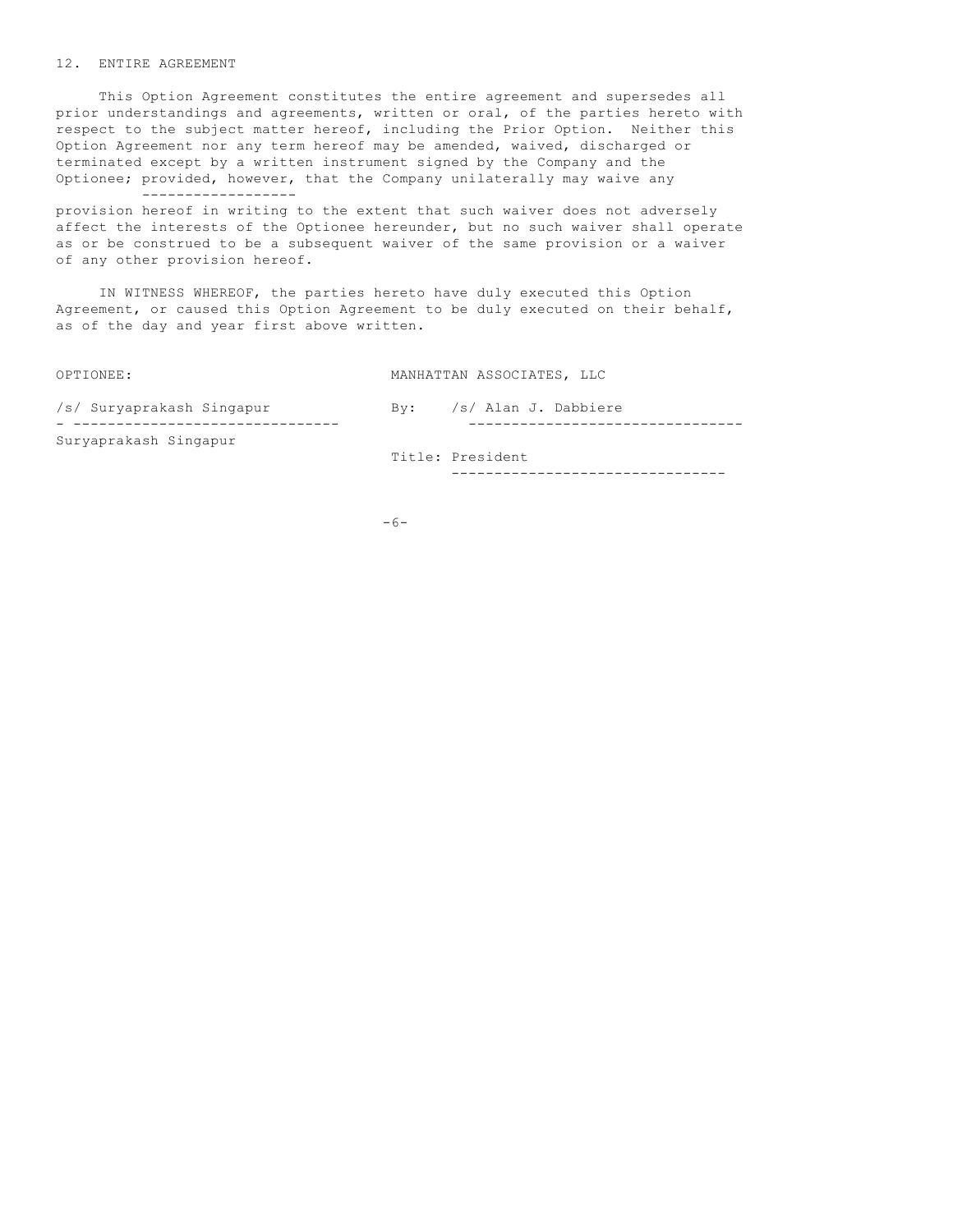### 12. ENTIRE AGREEMENT

------------------

 This Option Agreement constitutes the entire agreement and supersedes all prior understandings and agreements, written or oral, of the parties hereto with respect to the subject matter hereof, including the Prior Option. Neither this Option Agreement nor any term hereof may be amended, waived, discharged or terminated except by a written instrument signed by the Company and the Optionee; provided, however, that the Company unilaterally may waive any

provision hereof in writing to the extent that such waiver does not adversely affect the interests of the Optionee hereunder, but no such waiver shall operate as or be construed to be a subsequent waiver of the same provision or a waiver of any other provision hereof.

 IN WITNESS WHEREOF, the parties hereto have duly executed this Option Agreement, or caused this Option Agreement to be duly executed on their behalf, as of the day and year first above written.

OPTIONEE: MANHATTAN ASSOCIATES, LLC

| /s/ Suryaprakash Singapur | Bv: | /s/ Alan J. Dabbiere |
|---------------------------|-----|----------------------|
| Suryaprakash Singapur     |     | Title: President     |
|                           |     |                      |

 $-6-$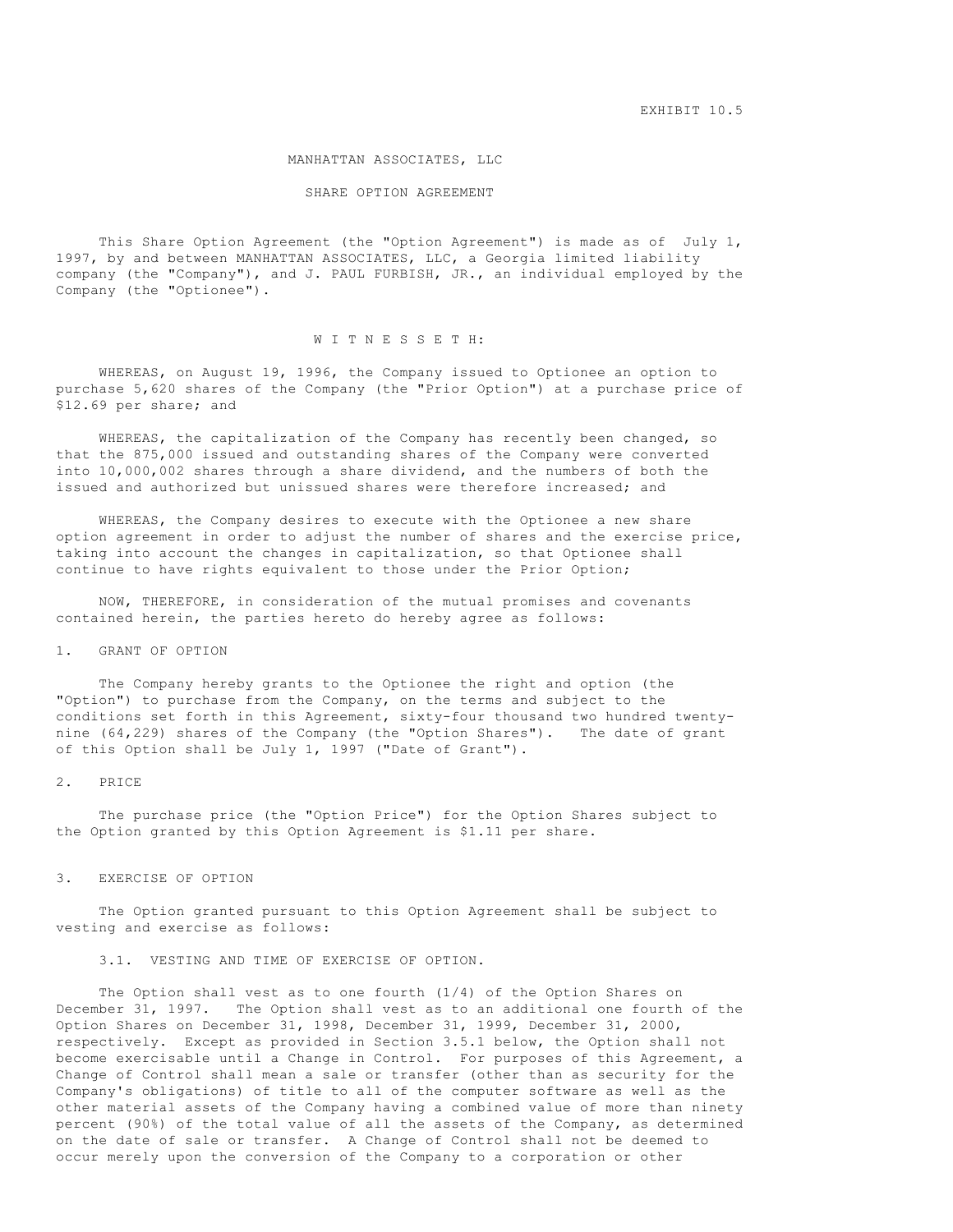EXHIBIT 10.5

#### MANHATTAN ASSOCIATES, LLC

#### SHARE OPTION AGREEMENT

 This Share Option Agreement (the "Option Agreement") is made as of July 1, 1997, by and between MANHATTAN ASSOCIATES, LLC, a Georgia limited liability company (the "Company"), and J. PAUL FURBISH, JR., an individual employed by the Company (the "Optionee").

# W I T N E S S E T H:

 WHEREAS, on August 19, 1996, the Company issued to Optionee an option to purchase 5,620 shares of the Company (the "Prior Option") at a purchase price of \$12.69 per share; and

 WHEREAS, the capitalization of the Company has recently been changed, so that the 875,000 issued and outstanding shares of the Company were converted into 10,000,002 shares through a share dividend, and the numbers of both the issued and authorized but unissued shares were therefore increased; and

 WHEREAS, the Company desires to execute with the Optionee a new share option agreement in order to adjust the number of shares and the exercise price, taking into account the changes in capitalization, so that Optionee shall continue to have rights equivalent to those under the Prior Option;

 NOW, THEREFORE, in consideration of the mutual promises and covenants contained herein, the parties hereto do hereby agree as follows:

# 1. GRANT OF OPTION

 The Company hereby grants to the Optionee the right and option (the "Option") to purchase from the Company, on the terms and subject to the conditions set forth in this Agreement, sixty-four thousand two hundred twentynine (64,229) shares of the Company (the "Option Shares"). The date of grant of this Option shall be July 1, 1997 ("Date of Grant").

### 2. PRICE

 The purchase price (the "Option Price") for the Option Shares subject to the Option granted by this Option Agreement is \$1.11 per share.

#### 3. EXERCISE OF OPTION

 The Option granted pursuant to this Option Agreement shall be subject to vesting and exercise as follows:

3.1. VESTING AND TIME OF EXERCISE OF OPTION.

 The Option shall vest as to one fourth (1/4) of the Option Shares on December 31, 1997. The Option shall vest as to an additional one fourth of the Option Shares on December 31, 1998, December 31, 1999, December 31, 2000, respectively. Except as provided in Section 3.5.1 below, the Option shall not become exercisable until a Change in Control. For purposes of this Agreement, a Change of Control shall mean a sale or transfer (other than as security for the Company's obligations) of title to all of the computer software as well as the other material assets of the Company having a combined value of more than ninety percent (90%) of the total value of all the assets of the Company, as determined on the date of sale or transfer. A Change of Control shall not be deemed to occur merely upon the conversion of the Company to a corporation or other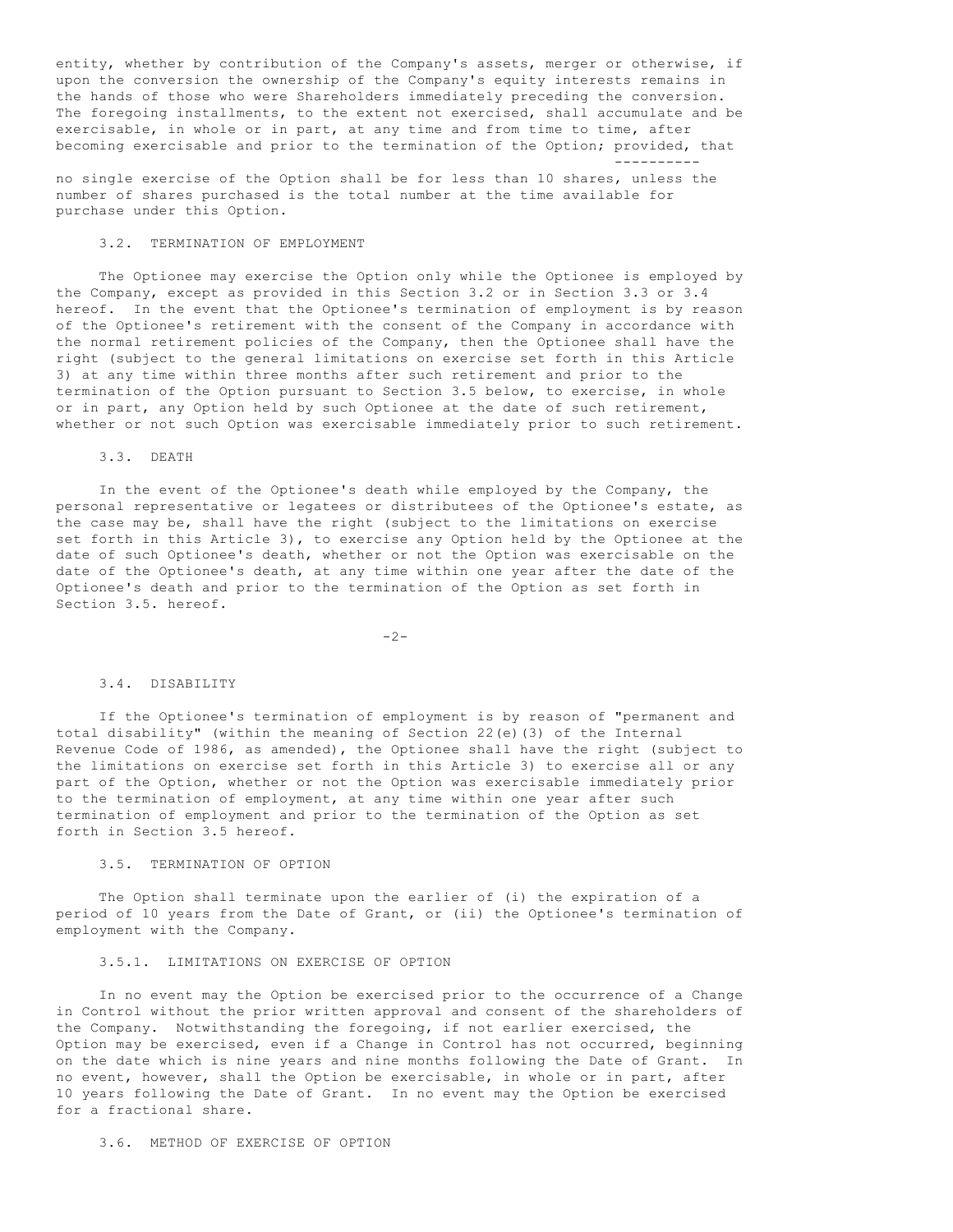entity, whether by contribution of the Company's assets, merger or otherwise, if upon the conversion the ownership of the Company's equity interests remains in the hands of those who were Shareholders immediately preceding the conversion. The foregoing installments, to the extent not exercised, shall accumulate and be exercisable, in whole or in part, at any time and from time to time, after becoming exercisable and prior to the termination of the Option; provided, that ----------

no single exercise of the Option shall be for less than 10 shares, unless the number of shares purchased is the total number at the time available for purchase under this Option.

# 3.2. TERMINATION OF EMPLOYMENT

 The Optionee may exercise the Option only while the Optionee is employed by the Company, except as provided in this Section 3.2 or in Section 3.3 or 3.4 hereof. In the event that the Optionee's termination of employment is by reason of the Optionee's retirement with the consent of the Company in accordance with the normal retirement policies of the Company, then the Optionee shall have the right (subject to the general limitations on exercise set forth in this Article 3) at any time within three months after such retirement and prior to the termination of the Option pursuant to Section 3.5 below, to exercise, in whole or in part, any Option held by such Optionee at the date of such retirement, whether or not such Option was exercisable immediately prior to such retirement.

### 3.3. DEATH

 In the event of the Optionee's death while employed by the Company, the personal representative or legatees or distributees of the Optionee's estate, as the case may be, shall have the right (subject to the limitations on exercise set forth in this Article 3), to exercise any Option held by the Optionee at the date of such Optionee's death, whether or not the Option was exercisable on the date of the Optionee's death, at any time within one year after the date of the Optionee's death and prior to the termination of the Option as set forth in Section 3.5. hereof.

 $-2-$ 

#### 3.4. DISABILITY

 If the Optionee's termination of employment is by reason of "permanent and total disability" (within the meaning of Section 22(e)(3) of the Internal Revenue Code of 1986, as amended), the Optionee shall have the right (subject to the limitations on exercise set forth in this Article 3) to exercise all or any part of the Option, whether or not the Option was exercisable immediately prior to the termination of employment, at any time within one year after such termination of employment and prior to the termination of the Option as set forth in Section 3.5 hereof.

# 3.5. TERMINATION OF OPTION

 The Option shall terminate upon the earlier of (i) the expiration of a period of 10 years from the Date of Grant, or (ii) the Optionee's termination of employment with the Company.

# 3.5.1. LIMITATIONS ON EXERCISE OF OPTION

 In no event may the Option be exercised prior to the occurrence of a Change in Control without the prior written approval and consent of the shareholders of the Company. Notwithstanding the foregoing, if not earlier exercised, the Option may be exercised, even if a Change in Control has not occurred, beginning on the date which is nine years and nine months following the Date of Grant. In no event, however, shall the Option be exercisable, in whole or in part, after 10 years following the Date of Grant. In no event may the Option be exercised for a fractional share.

# 3.6. METHOD OF EXERCISE OF OPTION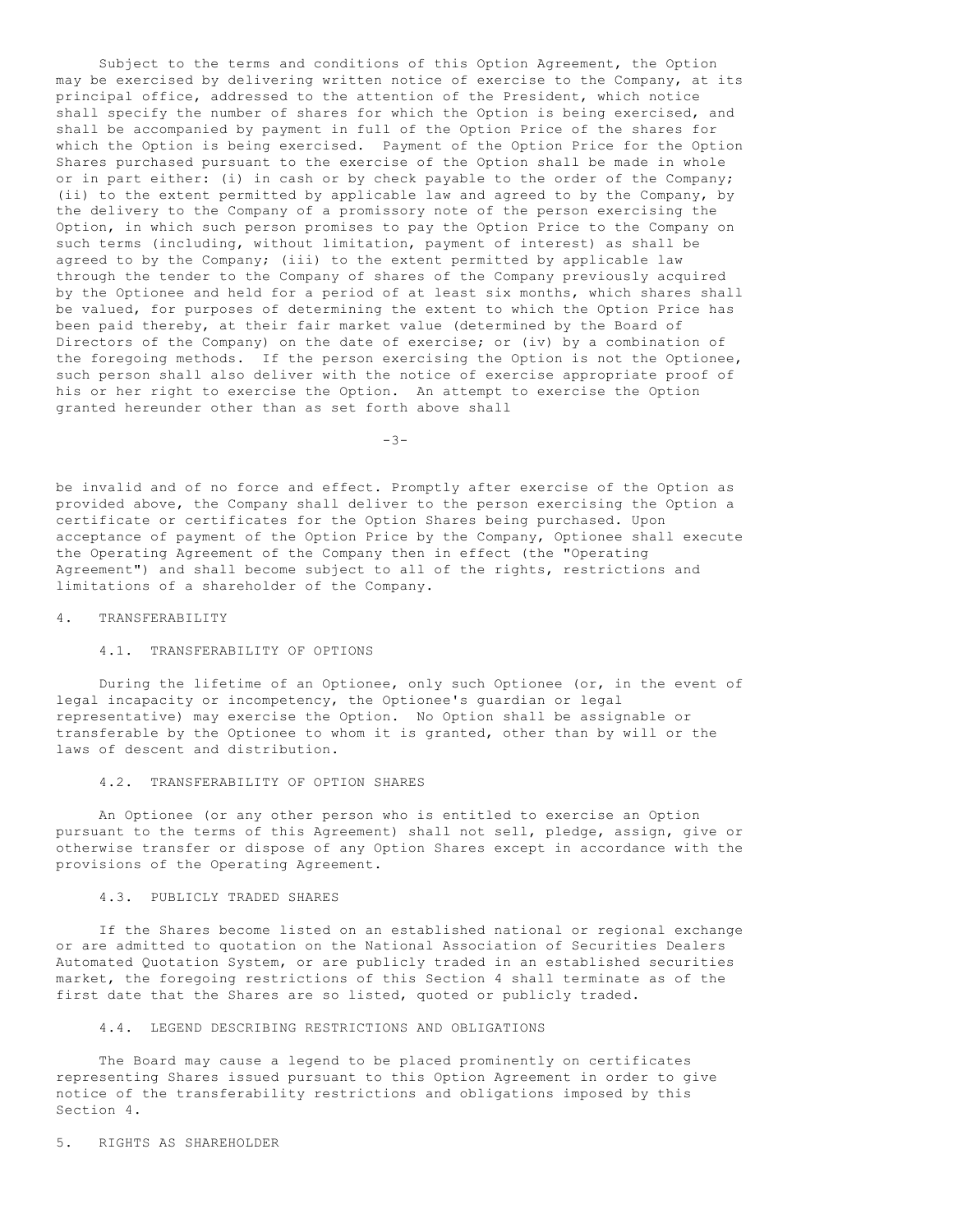Subject to the terms and conditions of this Option Agreement, the Option may be exercised by delivering written notice of exercise to the Company, at its principal office, addressed to the attention of the President, which notice shall specify the number of shares for which the Option is being exercised, and shall be accompanied by payment in full of the Option Price of the shares for which the Option is being exercised. Payment of the Option Price for the Option Shares purchased pursuant to the exercise of the Option shall be made in whole or in part either: (i) in cash or by check payable to the order of the Company; (ii) to the extent permitted by applicable law and agreed to by the Company, by the delivery to the Company of a promissory note of the person exercising the Option, in which such person promises to pay the Option Price to the Company on such terms (including, without limitation, payment of interest) as shall be agreed to by the Company; (iii) to the extent permitted by applicable law through the tender to the Company of shares of the Company previously acquired by the Optionee and held for a period of at least six months, which shares shall be valued, for purposes of determining the extent to which the Option Price has been paid thereby, at their fair market value (determined by the Board of Directors of the Company) on the date of exercise; or (iv) by a combination of the foregoing methods. If the person exercising the Option is not the Optionee, such person shall also deliver with the notice of exercise appropriate proof of his or her right to exercise the Option. An attempt to exercise the Option granted hereunder other than as set forth above shall

-3-

be invalid and of no force and effect. Promptly after exercise of the Option as provided above, the Company shall deliver to the person exercising the Option a certificate or certificates for the Option Shares being purchased. Upon acceptance of payment of the Option Price by the Company, Optionee shall execute the Operating Agreement of the Company then in effect (the "Operating Agreement") and shall become subject to all of the rights, restrictions and limitations of a shareholder of the Company.

### 4. TRANSFERABILITY

# 4.1. TRANSFERABILITY OF OPTIONS

 During the lifetime of an Optionee, only such Optionee (or, in the event of legal incapacity or incompetency, the Optionee's guardian or legal representative) may exercise the Option. No Option shall be assignable or transferable by the Optionee to whom it is granted, other than by will or the laws of descent and distribution.

### 4.2. TRANSFERABILITY OF OPTION SHARES

 An Optionee (or any other person who is entitled to exercise an Option pursuant to the terms of this Agreement) shall not sell, pledge, assign, give or otherwise transfer or dispose of any Option Shares except in accordance with the provisions of the Operating Agreement.

### 4.3. PUBLICLY TRADED SHARES

 If the Shares become listed on an established national or regional exchange or are admitted to quotation on the National Association of Securities Dealers Automated Quotation System, or are publicly traded in an established securities market, the foregoing restrictions of this Section 4 shall terminate as of the first date that the Shares are so listed, quoted or publicly traded.

# 4.4. LEGEND DESCRIBING RESTRICTIONS AND OBLIGATIONS

 The Board may cause a legend to be placed prominently on certificates representing Shares issued pursuant to this Option Agreement in order to give notice of the transferability restrictions and obligations imposed by this Section 4.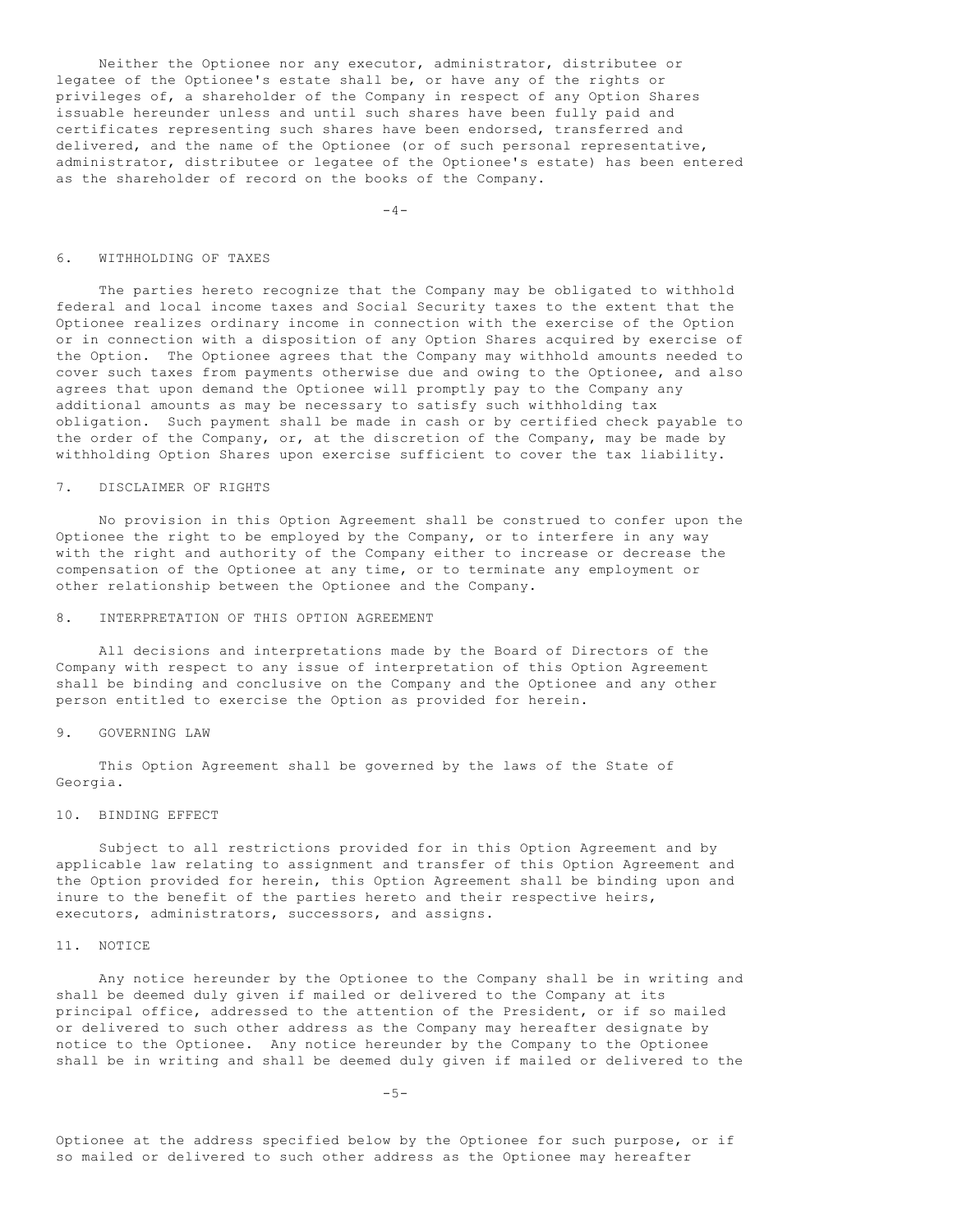Neither the Optionee nor any executor, administrator, distributee or legatee of the Optionee's estate shall be, or have any of the rights or privileges of, a shareholder of the Company in respect of any Option Shares issuable hereunder unless and until such shares have been fully paid and certificates representing such shares have been endorsed, transferred and delivered, and the name of the Optionee (or of such personal representative, administrator, distributee or legatee of the Optionee's estate) has been entered as the shareholder of record on the books of the Company.

 $-4-$ 

#### 6. WITHHOLDING OF TAXES

 The parties hereto recognize that the Company may be obligated to withhold federal and local income taxes and Social Security taxes to the extent that the Optionee realizes ordinary income in connection with the exercise of the Option or in connection with a disposition of any Option Shares acquired by exercise of the Option. The Optionee agrees that the Company may withhold amounts needed to cover such taxes from payments otherwise due and owing to the Optionee, and also agrees that upon demand the Optionee will promptly pay to the Company any additional amounts as may be necessary to satisfy such withholding tax obligation. Such payment shall be made in cash or by certified check payable to the order of the Company, or, at the discretion of the Company, may be made by withholding Option Shares upon exercise sufficient to cover the tax liability.

# 7. DISCLAIMER OF RIGHTS

 No provision in this Option Agreement shall be construed to confer upon the Optionee the right to be employed by the Company, or to interfere in any way with the right and authority of the Company either to increase or decrease the compensation of the Optionee at any time, or to terminate any employment or other relationship between the Optionee and the Company.

# 8. INTERPRETATION OF THIS OPTION AGREEMENT

 All decisions and interpretations made by the Board of Directors of the Company with respect to any issue of interpretation of this Option Agreement shall be binding and conclusive on the Company and the Optionee and any other person entitled to exercise the Option as provided for herein.

### 9. GOVERNING LAW

 This Option Agreement shall be governed by the laws of the State of Georgia.

# 10. BINDING EFFECT

 Subject to all restrictions provided for in this Option Agreement and by applicable law relating to assignment and transfer of this Option Agreement and the Option provided for herein, this Option Agreement shall be binding upon and inure to the benefit of the parties hereto and their respective heirs, executors, administrators, successors, and assigns.

#### 11. NOTICE

 Any notice hereunder by the Optionee to the Company shall be in writing and shall be deemed duly given if mailed or delivered to the Company at its principal office, addressed to the attention of the President, or if so mailed or delivered to such other address as the Company may hereafter designate by notice to the Optionee. Any notice hereunder by the Company to the Optionee shall be in writing and shall be deemed duly given if mailed or delivered to the

 $-5-$ 

Optionee at the address specified below by the Optionee for such purpose, or if so mailed or delivered to such other address as the Optionee may hereafter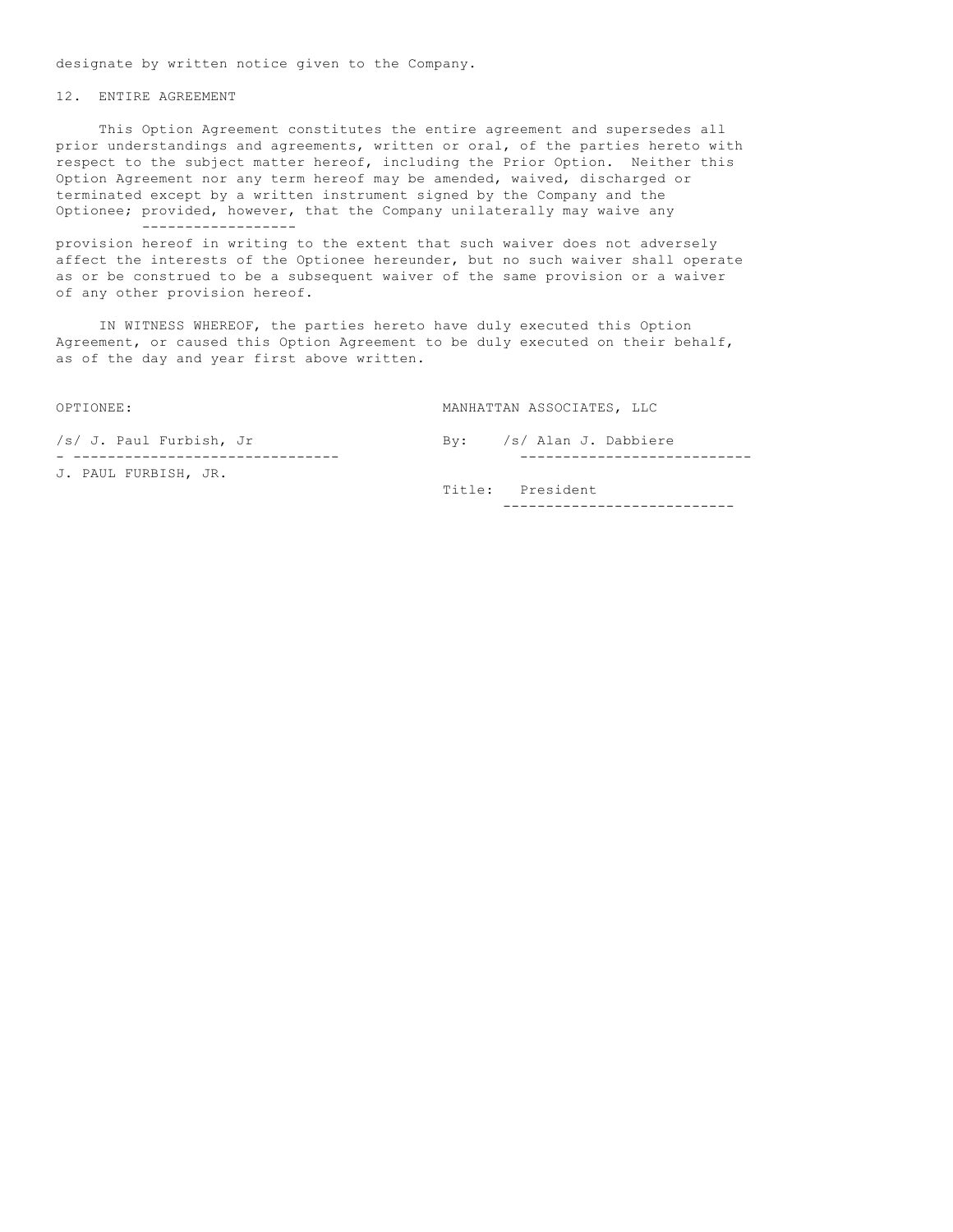designate by written notice given to the Company.

# 12. ENTIRE AGREEMENT

 This Option Agreement constitutes the entire agreement and supersedes all prior understandings and agreements, written or oral, of the parties hereto with respect to the subject matter hereof, including the Prior Option. Neither this Option Agreement nor any term hereof may be amended, waived, discharged or terminated except by a written instrument signed by the Company and the Optionee; provided, however, that the Company unilaterally may waive any ------------------

provision hereof in writing to the extent that such waiver does not adversely affect the interests of the Optionee hereunder, but no such waiver shall operate as or be construed to be a subsequent waiver of the same provision or a waiver of any other provision hereof.

 IN WITNESS WHEREOF, the parties hereto have duly executed this Option Agreement, or caused this Option Agreement to be duly executed on their behalf, as of the day and year first above written.

OPTIONEE: MANHATTAN ASSOCIATES, LLC

|  | /s/ J. Paul Furbish, Jr |  |  |  | By: /s/ Alan J. Dabbiere |
|--|-------------------------|--|--|--|--------------------------|
|  |                         |  |  |  |                          |
|  | J. PAUL FURBISH, JR.    |  |  |  |                          |

 Title: President ---------------------------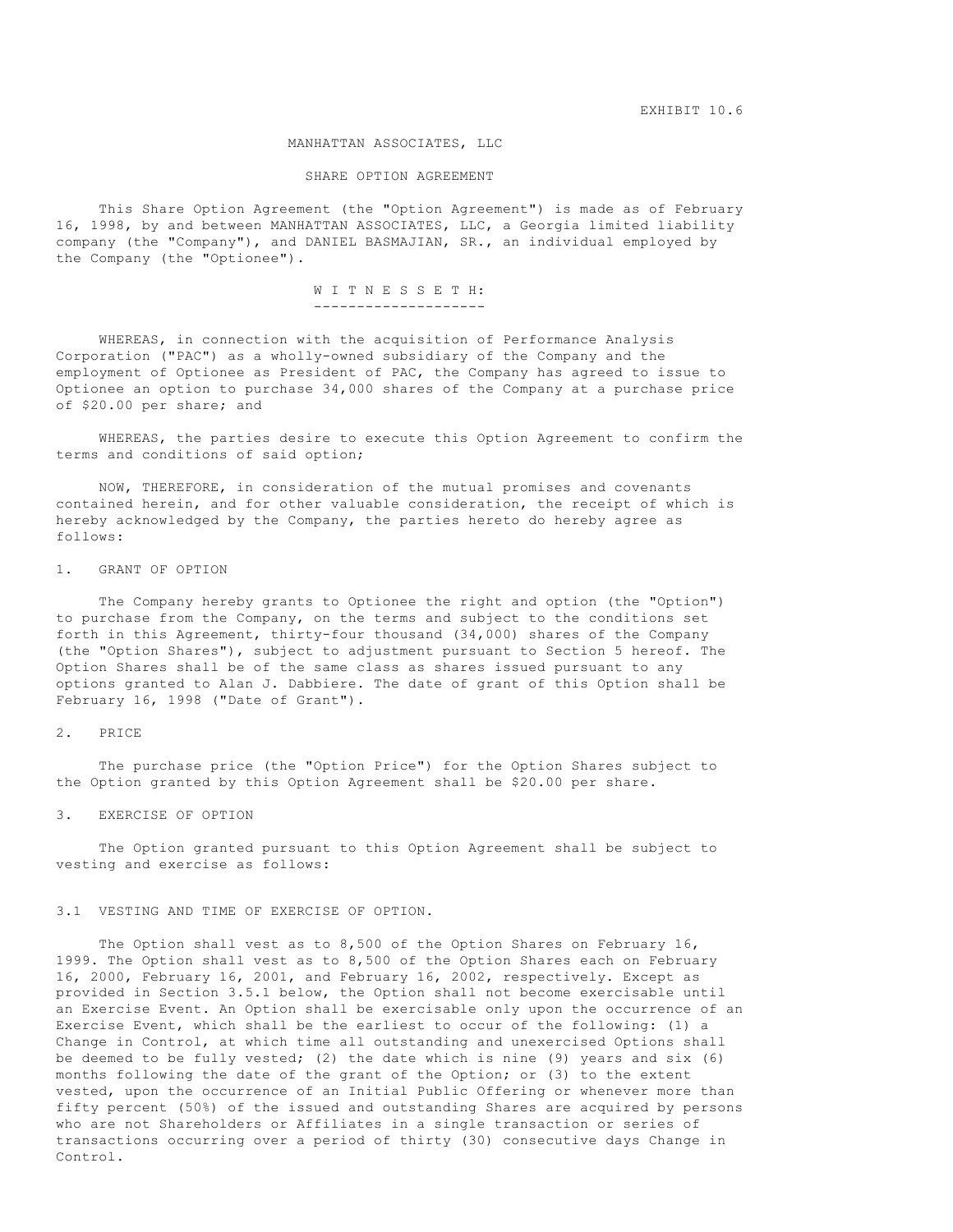EXHIBIT 10.6

#### MANHATTAN ASSOCIATES, LLC

# SHARE OPTION AGREEMENT

 This Share Option Agreement (the "Option Agreement") is made as of February 16, 1998, by and between MANHATTAN ASSOCIATES, LLC, a Georgia limited liability company (the "Company"), and DANIEL BASMAJIAN, SR., an individual employed by the Company (the "Optionee").

# W I T N E S S E T H:

--------------------

 WHEREAS, in connection with the acquisition of Performance Analysis Corporation ("PAC") as a wholly-owned subsidiary of the Company and the employment of Optionee as President of PAC, the Company has agreed to issue to Optionee an option to purchase 34,000 shares of the Company at a purchase price of \$20.00 per share; and

 WHEREAS, the parties desire to execute this Option Agreement to confirm the terms and conditions of said option;

 NOW, THEREFORE, in consideration of the mutual promises and covenants contained herein, and for other valuable consideration, the receipt of which is hereby acknowledged by the Company, the parties hereto do hereby agree as follows:

# 1. GRANT OF OPTION

 The Company hereby grants to Optionee the right and option (the "Option") to purchase from the Company, on the terms and subject to the conditions set forth in this Agreement, thirty-four thousand (34,000) shares of the Company (the "Option Shares"), subject to adjustment pursuant to Section 5 hereof. The Option Shares shall be of the same class as shares issued pursuant to any options granted to Alan J. Dabbiere. The date of grant of this Option shall be February 16, 1998 ("Date of Grant").

# 2. PRICE

 The purchase price (the "Option Price") for the Option Shares subject to the Option granted by this Option Agreement shall be \$20.00 per share.

3. EXERCISE OF OPTION

 The Option granted pursuant to this Option Agreement shall be subject to vesting and exercise as follows:

# 3.1 VESTING AND TIME OF EXERCISE OF OPTION.

 The Option shall vest as to 8,500 of the Option Shares on February 16, 1999. The Option shall vest as to 8,500 of the Option Shares each on February 16, 2000, February 16, 2001, and February 16, 2002, respectively. Except as provided in Section 3.5.1 below, the Option shall not become exercisable until an Exercise Event. An Option shall be exercisable only upon the occurrence of an Exercise Event, which shall be the earliest to occur of the following: (1) a Change in Control, at which time all outstanding and unexercised Options shall be deemed to be fully vested; (2) the date which is nine (9) years and six (6) months following the date of the grant of the Option; or (3) to the extent vested, upon the occurrence of an Initial Public Offering or whenever more than fifty percent (50%) of the issued and outstanding Shares are acquired by persons who are not Shareholders or Affiliates in a single transaction or series of transactions occurring over a period of thirty (30) consecutive days Change in Control.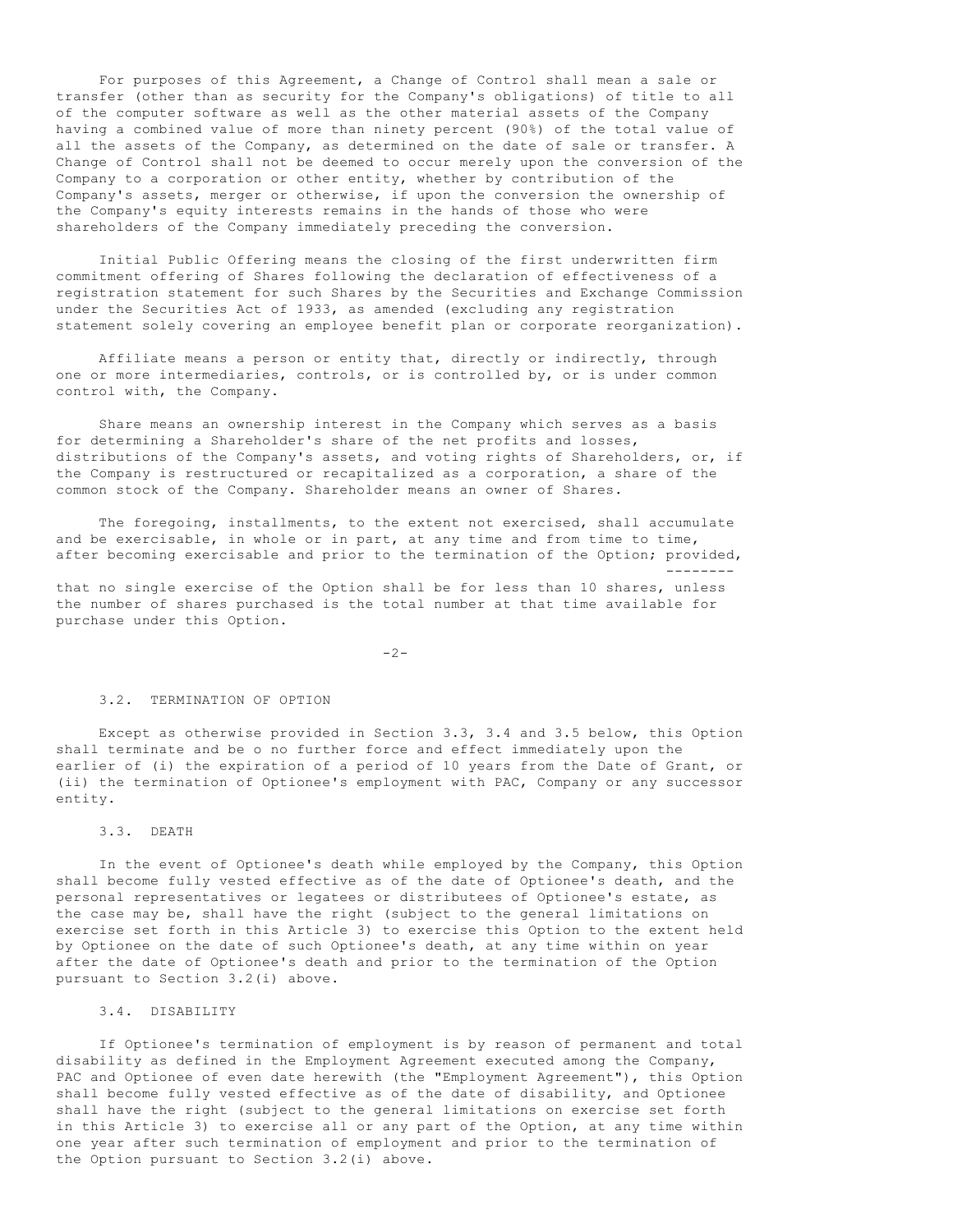For purposes of this Agreement, a Change of Control shall mean a sale or transfer (other than as security for the Company's obligations) of title to all of the computer software as well as the other material assets of the Company having a combined value of more than ninety percent (90%) of the total value of all the assets of the Company, as determined on the date of sale or transfer. A Change of Control shall not be deemed to occur merely upon the conversion of the Company to a corporation or other entity, whether by contribution of the Company's assets, merger or otherwise, if upon the conversion the ownership of the Company's equity interests remains in the hands of those who were shareholders of the Company immediately preceding the conversion.

 Initial Public Offering means the closing of the first underwritten firm commitment offering of Shares following the declaration of effectiveness of a registration statement for such Shares by the Securities and Exchange Commission under the Securities Act of 1933, as amended (excluding any registration statement solely covering an employee benefit plan or corporate reorganization).

 Affiliate means a person or entity that, directly or indirectly, through one or more intermediaries, controls, or is controlled by, or is under common control with, the Company.

 Share means an ownership interest in the Company which serves as a basis for determining a Shareholder's share of the net profits and losses, distributions of the Company's assets, and voting rights of Shareholders, or, if the Company is restructured or recapitalized as a corporation, a share of the common stock of the Company. Shareholder means an owner of Shares.

 The foregoing, installments, to the extent not exercised, shall accumulate and be exercisable, in whole or in part, at any time and from time to time, after becoming exercisable and prior to the termination of the Option; provided, --------

that no single exercise of the Option shall be for less than 10 shares, unless the number of shares purchased is the total number at that time available for purchase under this Option.

 $-2-$ 

#### 3.2. TERMINATION OF OPTION

 Except as otherwise provided in Section 3.3, 3.4 and 3.5 below, this Option shall terminate and be o no further force and effect immediately upon the earlier of (i) the expiration of a period of 10 years from the Date of Grant, or (ii) the termination of Optionee's employment with PAC, Company or any successor entity.

# 3.3. DEATH

 In the event of Optionee's death while employed by the Company, this Option shall become fully vested effective as of the date of Optionee's death, and the personal representatives or legatees or distributees of Optionee's estate, as the case may be, shall have the right (subject to the general limitations on exercise set forth in this Article 3) to exercise this Option to the extent held by Optionee on the date of such Optionee's death, at any time within on year after the date of Optionee's death and prior to the termination of the Option pursuant to Section 3.2(i) above.

# 3.4. DISABILITY

 If Optionee's termination of employment is by reason of permanent and total disability as defined in the Employment Agreement executed among the Company, PAC and Optionee of even date herewith (the "Employment Agreement"), this Option shall become fully vested effective as of the date of disability, and Optionee shall have the right (subject to the general limitations on exercise set forth in this Article 3) to exercise all or any part of the Option, at any time within one year after such termination of employment and prior to the termination of the Option pursuant to Section 3.2(i) above.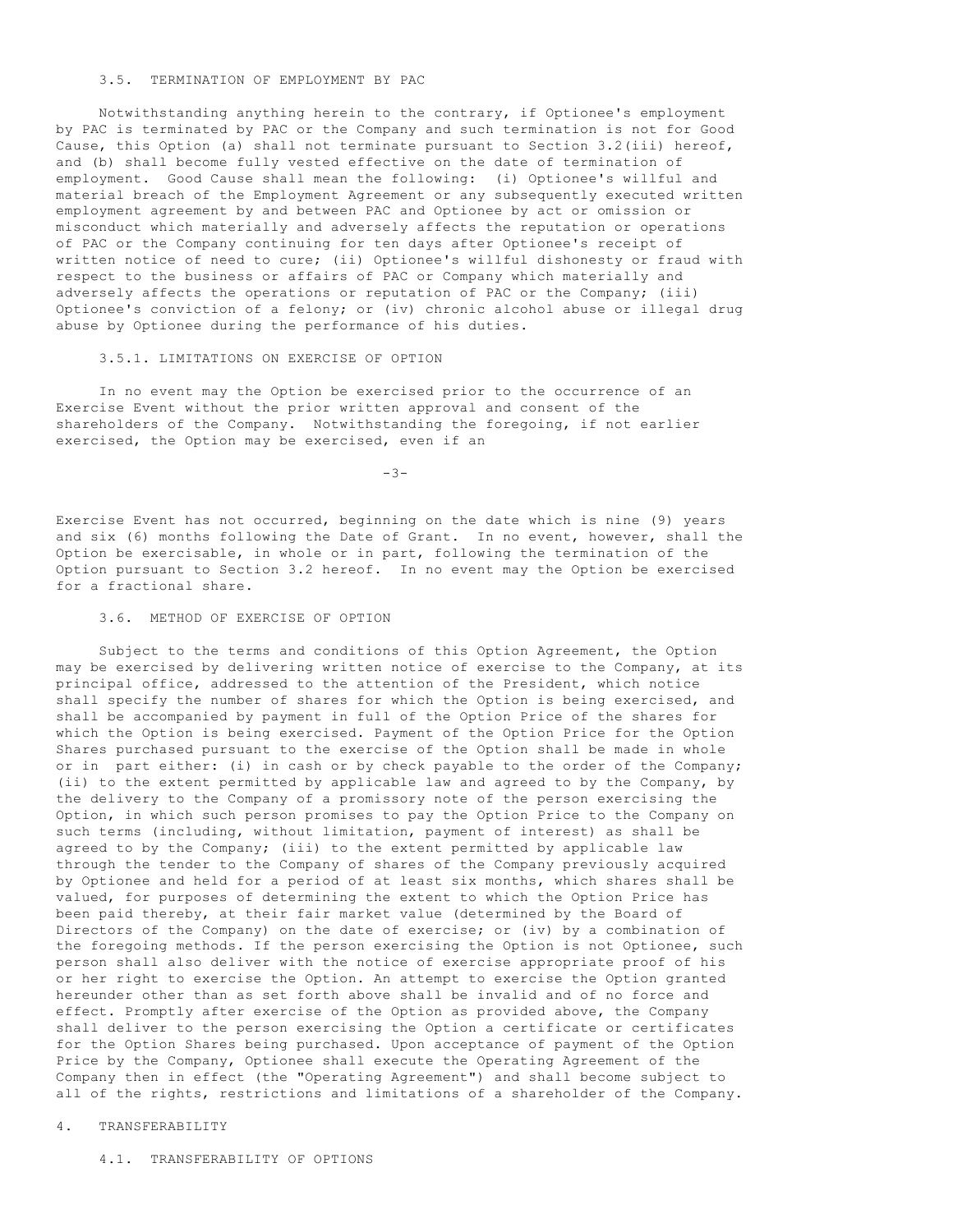# 3.5. TERMINATION OF EMPLOYMENT BY PAC

 Notwithstanding anything herein to the contrary, if Optionee's employment by PAC is terminated by PAC or the Company and such termination is not for Good Cause, this Option (a) shall not terminate pursuant to Section 3.2(iii) hereof, and (b) shall become fully vested effective on the date of termination of employment. Good Cause shall mean the following: (i) Optionee's willful and material breach of the Employment Agreement or any subsequently executed written employment agreement by and between PAC and Optionee by act or omission or misconduct which materially and adversely affects the reputation or operations of PAC or the Company continuing for ten days after Optionee's receipt of written notice of need to cure; (ii) Optionee's willful dishonesty or fraud with respect to the business or affairs of PAC or Company which materially and adversely affects the operations or reputation of PAC or the Company; (iii) Optionee's conviction of a felony; or (iv) chronic alcohol abuse or illegal drug abuse by Optionee during the performance of his duties.

### 3.5.1. LIMITATIONS ON EXERCISE OF OPTION

 In no event may the Option be exercised prior to the occurrence of an Exercise Event without the prior written approval and consent of the shareholders of the Company. Notwithstanding the foregoing, if not earlier exercised, the Option may be exercised, even if an

-3-

Exercise Event has not occurred, beginning on the date which is nine (9) years and six (6) months following the Date of Grant. In no event, however, shall the Option be exercisable, in whole or in part, following the termination of the Option pursuant to Section 3.2 hereof. In no event may the Option be exercised for a fractional share.

# 3.6. METHOD OF EXERCISE OF OPTION

 Subject to the terms and conditions of this Option Agreement, the Option may be exercised by delivering written notice of exercise to the Company, at its principal office, addressed to the attention of the President, which notice shall specify the number of shares for which the Option is being exercised, and shall be accompanied by payment in full of the Option Price of the shares for which the Option is being exercised. Payment of the Option Price for the Option Shares purchased pursuant to the exercise of the Option shall be made in whole or in part either: (i) in cash or by check payable to the order of the Company; (ii) to the extent permitted by applicable law and agreed to by the Company, by the delivery to the Company of a promissory note of the person exercising the Option, in which such person promises to pay the Option Price to the Company on such terms (including, without limitation, payment of interest) as shall be agreed to by the Company; (iii) to the extent permitted by applicable law through the tender to the Company of shares of the Company previously acquired by Optionee and held for a period of at least six months, which shares shall be valued, for purposes of determining the extent to which the Option Price has been paid thereby, at their fair market value (determined by the Board of Directors of the Company) on the date of exercise; or (iv) by a combination of the foregoing methods. If the person exercising the Option is not Optionee, such person shall also deliver with the notice of exercise appropriate proof of his or her right to exercise the Option. An attempt to exercise the Option granted hereunder other than as set forth above shall be invalid and of no force and effect. Promptly after exercise of the Option as provided above, the Company shall deliver to the person exercising the Option a certificate or certificates for the Option Shares being purchased. Upon acceptance of payment of the Option Price by the Company, Optionee shall execute the Operating Agreement of the Company then in effect (the "Operating Agreement") and shall become subject to all of the rights, restrictions and limitations of a shareholder of the Company.

### 4. TRANSFERABILITY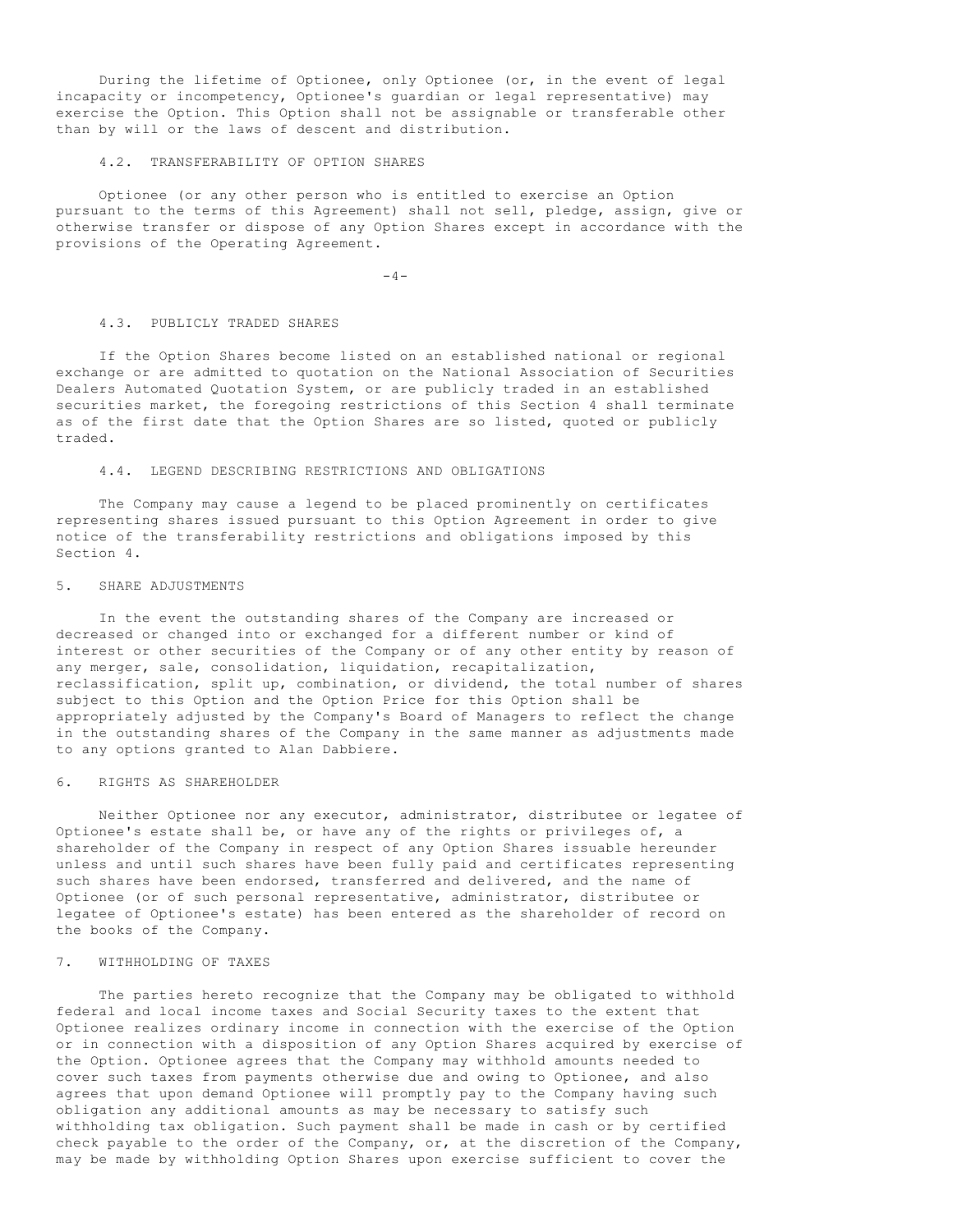During the lifetime of Optionee, only Optionee (or, in the event of legal incapacity or incompetency, Optionee's guardian or legal representative) may exercise the Option. This Option shall not be assignable or transferable other than by will or the laws of descent and distribution.

# 4.2. TRANSFERABILITY OF OPTION SHARES

 Optionee (or any other person who is entitled to exercise an Option pursuant to the terms of this Agreement) shall not sell, pledge, assign, give or otherwise transfer or dispose of any Option Shares except in accordance with the provisions of the Operating Agreement.

 $-4-$ 

### 4.3. PUBLICLY TRADED SHARES

 If the Option Shares become listed on an established national or regional exchange or are admitted to quotation on the National Association of Securities Dealers Automated Quotation System, or are publicly traded in an established securities market, the foregoing restrictions of this Section 4 shall terminate as of the first date that the Option Shares are so listed, quoted or publicly traded.

# 4.4. LEGEND DESCRIBING RESTRICTIONS AND OBLIGATIONS

 The Company may cause a legend to be placed prominently on certificates representing shares issued pursuant to this Option Agreement in order to give notice of the transferability restrictions and obligations imposed by this Section 4.

#### 5. SHARE ADJUSTMENTS

 In the event the outstanding shares of the Company are increased or decreased or changed into or exchanged for a different number or kind of interest or other securities of the Company or of any other entity by reason of any merger, sale, consolidation, liquidation, recapitalization, reclassification, split up, combination, or dividend, the total number of shares subject to this Option and the Option Price for this Option shall be appropriately adjusted by the Company's Board of Managers to reflect the change in the outstanding shares of the Company in the same manner as adjustments made to any options granted to Alan Dabbiere.

# 6. RIGHTS AS SHAREHOLDER

 Neither Optionee nor any executor, administrator, distributee or legatee of Optionee's estate shall be, or have any of the rights or privileges of, a shareholder of the Company in respect of any Option Shares issuable hereunder unless and until such shares have been fully paid and certificates representing such shares have been endorsed, transferred and delivered, and the name of Optionee (or of such personal representative, administrator, distributee or legatee of Optionee's estate) has been entered as the shareholder of record on the books of the Company.

# 7. WITHHOLDING OF TAXES

 The parties hereto recognize that the Company may be obligated to withhold federal and local income taxes and Social Security taxes to the extent that Optionee realizes ordinary income in connection with the exercise of the Option or in connection with a disposition of any Option Shares acquired by exercise of the Option. Optionee agrees that the Company may withhold amounts needed to cover such taxes from payments otherwise due and owing to Optionee, and also agrees that upon demand Optionee will promptly pay to the Company having such obligation any additional amounts as may be necessary to satisfy such withholding tax obligation. Such payment shall be made in cash or by certified check payable to the order of the Company, or, at the discretion of the Company, may be made by withholding Option Shares upon exercise sufficient to cover the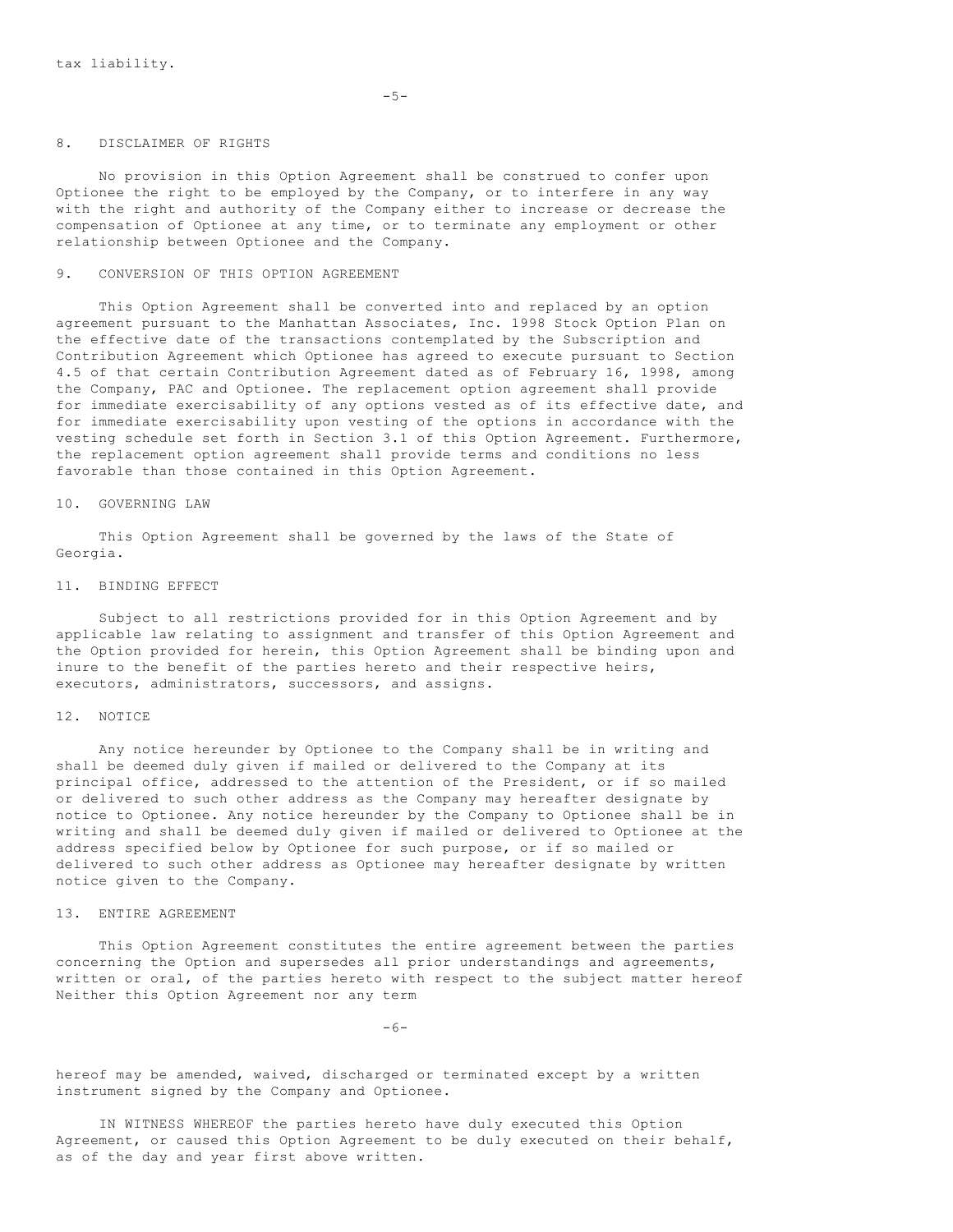### 8. DISCLAIMER OF RIGHTS

 No provision in this Option Agreement shall be construed to confer upon Optionee the right to be employed by the Company, or to interfere in any way with the right and authority of the Company either to increase or decrease the compensation of Optionee at any time, or to terminate any employment or other relationship between Optionee and the Company.

#### 9. CONVERSION OF THIS OPTION AGREEMENT

 This Option Agreement shall be converted into and replaced by an option agreement pursuant to the Manhattan Associates, Inc. 1998 Stock Option Plan on the effective date of the transactions contemplated by the Subscription and Contribution Agreement which Optionee has agreed to execute pursuant to Section 4.5 of that certain Contribution Agreement dated as of February 16, 1998, among the Company, PAC and Optionee. The replacement option agreement shall provide for immediate exercisability of any options vested as of its effective date, and for immediate exercisability upon vesting of the options in accordance with the vesting schedule set forth in Section 3.1 of this Option Agreement. Furthermore, the replacement option agreement shall provide terms and conditions no less favorable than those contained in this Option Agreement.

# 10. GOVERNING LAW

 This Option Agreement shall be governed by the laws of the State of Georgia.

#### 11. BINDING EFFECT

 Subject to all restrictions provided for in this Option Agreement and by applicable law relating to assignment and transfer of this Option Agreement and the Option provided for herein, this Option Agreement shall be binding upon and inure to the benefit of the parties hereto and their respective heirs, executors, administrators, successors, and assigns.

# 12. NOTICE

 Any notice hereunder by Optionee to the Company shall be in writing and shall be deemed duly given if mailed or delivered to the Company at its principal office, addressed to the attention of the President, or if so mailed or delivered to such other address as the Company may hereafter designate by notice to Optionee. Any notice hereunder by the Company to Optionee shall be in writing and shall be deemed duly given if mailed or delivered to Optionee at the address specified below by Optionee for such purpose, or if so mailed or delivered to such other address as Optionee may hereafter designate by written notice given to the Company.

### 13. ENTIRE AGREEMENT

 This Option Agreement constitutes the entire agreement between the parties concerning the Option and supersedes all prior understandings and agreements, written or oral, of the parties hereto with respect to the subject matter hereof Neither this Option Agreement nor any term

 $-6-$ 

hereof may be amended, waived, discharged or terminated except by a written instrument signed by the Company and Optionee.

 IN WITNESS WHEREOF the parties hereto have duly executed this Option Agreement, or caused this Option Agreement to be duly executed on their behalf, as of the day and year first above written.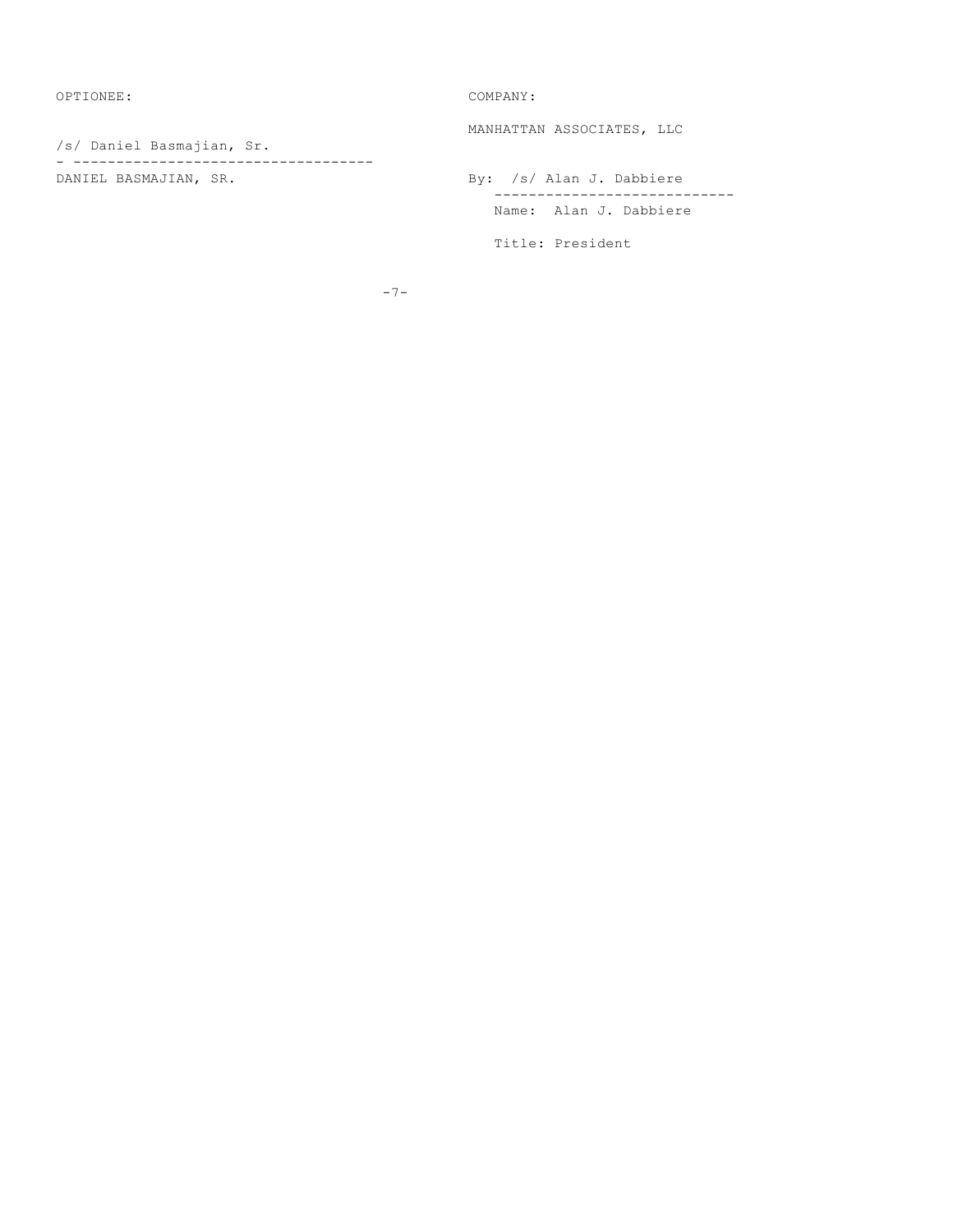OPTIONEE: COMPANY:

/s/ Daniel Basmajian, Sr. - ----------------------------------- MANHATTAN ASSOCIATES, LLC

By: /s/ Alan J. Dabbiere ---------------------------- Name: Alan J. Dabbiere

Title: President

-7-